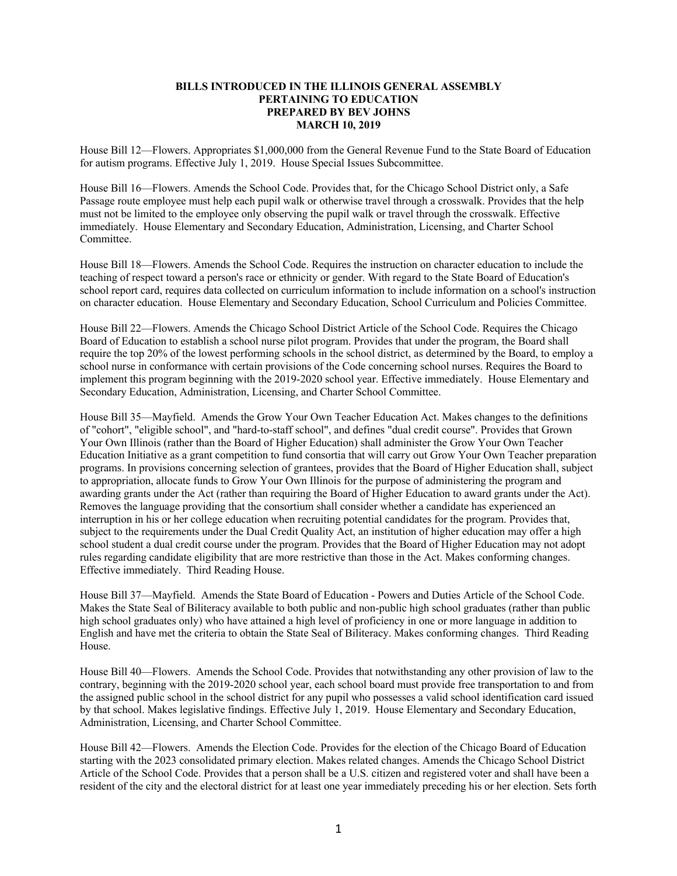## **BILLS INTRODUCED IN THE ILLINOIS GENERAL ASSEMBLY PERTAINING TO EDUCATION PREPARED BY BEV JOHNS MARCH 10, 2019**

House Bill 12—Flowers. Appropriates \$1,000,000 from the General Revenue Fund to the State Board of Education for autism programs. Effective July 1, 2019. House Special Issues Subcommittee.

House Bill 16—Flowers. Amends the School Code. Provides that, for the Chicago School District only, a Safe Passage route employee must help each pupil walk or otherwise travel through a crosswalk. Provides that the help must not be limited to the employee only observing the pupil walk or travel through the crosswalk. Effective immediately. House Elementary and Secondary Education, Administration, Licensing, and Charter School Committee.

House Bill 18—Flowers. Amends the School Code. Requires the instruction on character education to include the teaching of respect toward a person's race or ethnicity or gender. With regard to the State Board of Education's school report card, requires data collected on curriculum information to include information on a school's instruction on character education. House Elementary and Secondary Education, School Curriculum and Policies Committee.

House Bill 22—Flowers. Amends the Chicago School District Article of the School Code. Requires the Chicago Board of Education to establish a school nurse pilot program. Provides that under the program, the Board shall require the top 20% of the lowest performing schools in the school district, as determined by the Board, to employ a school nurse in conformance with certain provisions of the Code concerning school nurses. Requires the Board to implement this program beginning with the 2019-2020 school year. Effective immediately. House Elementary and Secondary Education, Administration, Licensing, and Charter School Committee.

House Bill 35—Mayfield. Amends the Grow Your Own Teacher Education Act. Makes changes to the definitions of "cohort", "eligible school", and "hard-to-staff school", and defines "dual credit course". Provides that Grown Your Own Illinois (rather than the Board of Higher Education) shall administer the Grow Your Own Teacher Education Initiative as a grant competition to fund consortia that will carry out Grow Your Own Teacher preparation programs. In provisions concerning selection of grantees, provides that the Board of Higher Education shall, subject to appropriation, allocate funds to Grow Your Own Illinois for the purpose of administering the program and awarding grants under the Act (rather than requiring the Board of Higher Education to award grants under the Act). Removes the language providing that the consortium shall consider whether a candidate has experienced an interruption in his or her college education when recruiting potential candidates for the program. Provides that, subject to the requirements under the Dual Credit Quality Act, an institution of higher education may offer a high school student a dual credit course under the program. Provides that the Board of Higher Education may not adopt rules regarding candidate eligibility that are more restrictive than those in the Act. Makes conforming changes. Effective immediately. Third Reading House.

House Bill 37—Mayfield. Amends the State Board of Education - Powers and Duties Article of the School Code. Makes the State Seal of Biliteracy available to both public and non-public high school graduates (rather than public high school graduates only) who have attained a high level of proficiency in one or more language in addition to English and have met the criteria to obtain the State Seal of Biliteracy. Makes conforming changes. Third Reading House.

House Bill 40—Flowers. Amends the School Code. Provides that notwithstanding any other provision of law to the contrary, beginning with the 2019-2020 school year, each school board must provide free transportation to and from the assigned public school in the school district for any pupil who possesses a valid school identification card issued by that school. Makes legislative findings. Effective July 1, 2019. House Elementary and Secondary Education, Administration, Licensing, and Charter School Committee.

House Bill 42—Flowers. Amends the Election Code. Provides for the election of the Chicago Board of Education starting with the 2023 consolidated primary election. Makes related changes. Amends the Chicago School District Article of the School Code. Provides that a person shall be a U.S. citizen and registered voter and shall have been a resident of the city and the electoral district for at least one year immediately preceding his or her election. Sets forth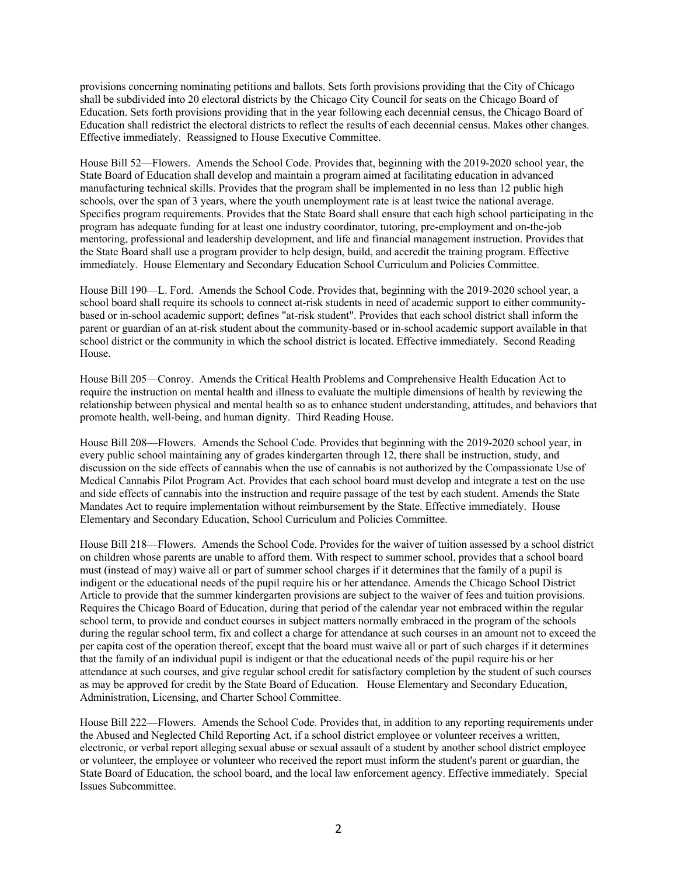provisions concerning nominating petitions and ballots. Sets forth provisions providing that the City of Chicago shall be subdivided into 20 electoral districts by the Chicago City Council for seats on the Chicago Board of Education. Sets forth provisions providing that in the year following each decennial census, the Chicago Board of Education shall redistrict the electoral districts to reflect the results of each decennial census. Makes other changes. Effective immediately. Reassigned to House Executive Committee.

House Bill 52—Flowers. Amends the School Code. Provides that, beginning with the 2019-2020 school year, the State Board of Education shall develop and maintain a program aimed at facilitating education in advanced manufacturing technical skills. Provides that the program shall be implemented in no less than 12 public high schools, over the span of 3 years, where the youth unemployment rate is at least twice the national average. Specifies program requirements. Provides that the State Board shall ensure that each high school participating in the program has adequate funding for at least one industry coordinator, tutoring, pre-employment and on-the-job mentoring, professional and leadership development, and life and financial management instruction. Provides that the State Board shall use a program provider to help design, build, and accredit the training program. Effective immediately. House Elementary and Secondary Education School Curriculum and Policies Committee.

House Bill 190—L. Ford. Amends the School Code. Provides that, beginning with the 2019-2020 school year, a school board shall require its schools to connect at-risk students in need of academic support to either communitybased or in-school academic support; defines "at-risk student". Provides that each school district shall inform the parent or guardian of an at-risk student about the community-based or in-school academic support available in that school district or the community in which the school district is located. Effective immediately. Second Reading House.

House Bill 205—Conroy. Amends the Critical Health Problems and Comprehensive Health Education Act to require the instruction on mental health and illness to evaluate the multiple dimensions of health by reviewing the relationship between physical and mental health so as to enhance student understanding, attitudes, and behaviors that promote health, well-being, and human dignity. Third Reading House.

House Bill 208—Flowers. Amends the School Code. Provides that beginning with the 2019-2020 school year, in every public school maintaining any of grades kindergarten through 12, there shall be instruction, study, and discussion on the side effects of cannabis when the use of cannabis is not authorized by the Compassionate Use of Medical Cannabis Pilot Program Act. Provides that each school board must develop and integrate a test on the use and side effects of cannabis into the instruction and require passage of the test by each student. Amends the State Mandates Act to require implementation without reimbursement by the State. Effective immediately. House Elementary and Secondary Education, School Curriculum and Policies Committee.

House Bill 218—Flowers. Amends the School Code. Provides for the waiver of tuition assessed by a school district on children whose parents are unable to afford them. With respect to summer school, provides that a school board must (instead of may) waive all or part of summer school charges if it determines that the family of a pupil is indigent or the educational needs of the pupil require his or her attendance. Amends the Chicago School District Article to provide that the summer kindergarten provisions are subject to the waiver of fees and tuition provisions. Requires the Chicago Board of Education, during that period of the calendar year not embraced within the regular school term, to provide and conduct courses in subject matters normally embraced in the program of the schools during the regular school term, fix and collect a charge for attendance at such courses in an amount not to exceed the per capita cost of the operation thereof, except that the board must waive all or part of such charges if it determines that the family of an individual pupil is indigent or that the educational needs of the pupil require his or her attendance at such courses, and give regular school credit for satisfactory completion by the student of such courses as may be approved for credit by the State Board of Education. House Elementary and Secondary Education, Administration, Licensing, and Charter School Committee.

House Bill 222—Flowers. Amends the School Code. Provides that, in addition to any reporting requirements under the Abused and Neglected Child Reporting Act, if a school district employee or volunteer receives a written, electronic, or verbal report alleging sexual abuse or sexual assault of a student by another school district employee or volunteer, the employee or volunteer who received the report must inform the student's parent or guardian, the State Board of Education, the school board, and the local law enforcement agency. Effective immediately. Special Issues Subcommittee.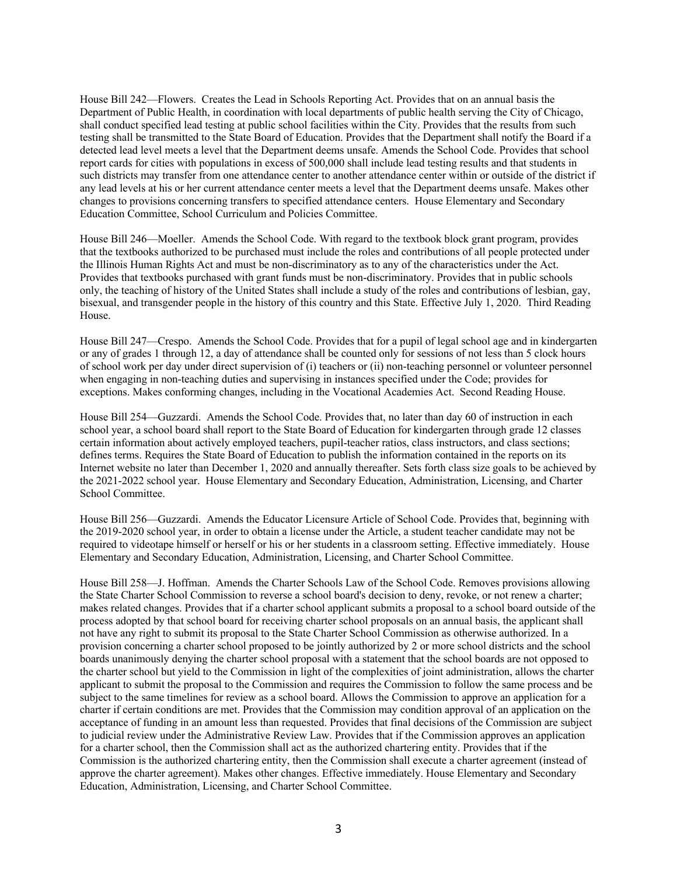House Bill 242—Flowers. Creates the Lead in Schools Reporting Act. Provides that on an annual basis the Department of Public Health, in coordination with local departments of public health serving the City of Chicago, shall conduct specified lead testing at public school facilities within the City. Provides that the results from such testing shall be transmitted to the State Board of Education. Provides that the Department shall notify the Board if a detected lead level meets a level that the Department deems unsafe. Amends the School Code. Provides that school report cards for cities with populations in excess of 500,000 shall include lead testing results and that students in such districts may transfer from one attendance center to another attendance center within or outside of the district if any lead levels at his or her current attendance center meets a level that the Department deems unsafe. Makes other changes to provisions concerning transfers to specified attendance centers. House Elementary and Secondary Education Committee, School Curriculum and Policies Committee.

House Bill 246—Moeller. Amends the School Code. With regard to the textbook block grant program, provides that the textbooks authorized to be purchased must include the roles and contributions of all people protected under the Illinois Human Rights Act and must be non-discriminatory as to any of the characteristics under the Act. Provides that textbooks purchased with grant funds must be non-discriminatory. Provides that in public schools only, the teaching of history of the United States shall include a study of the roles and contributions of lesbian, gay, bisexual, and transgender people in the history of this country and this State. Effective July 1, 2020. Third Reading House.

House Bill 247—Crespo. Amends the School Code. Provides that for a pupil of legal school age and in kindergarten or any of grades 1 through 12, a day of attendance shall be counted only for sessions of not less than 5 clock hours of school work per day under direct supervision of (i) teachers or (ii) non-teaching personnel or volunteer personnel when engaging in non-teaching duties and supervising in instances specified under the Code; provides for exceptions. Makes conforming changes, including in the Vocational Academies Act. Second Reading House.

House Bill 254—Guzzardi. Amends the School Code. Provides that, no later than day 60 of instruction in each school year, a school board shall report to the State Board of Education for kindergarten through grade 12 classes certain information about actively employed teachers, pupil-teacher ratios, class instructors, and class sections; defines terms. Requires the State Board of Education to publish the information contained in the reports on its Internet website no later than December 1, 2020 and annually thereafter. Sets forth class size goals to be achieved by the 2021-2022 school year. House Elementary and Secondary Education, Administration, Licensing, and Charter School Committee.

House Bill 256—Guzzardi. Amends the Educator Licensure Article of School Code. Provides that, beginning with the 2019-2020 school year, in order to obtain a license under the Article, a student teacher candidate may not be required to videotape himself or herself or his or her students in a classroom setting. Effective immediately. House Elementary and Secondary Education, Administration, Licensing, and Charter School Committee.

House Bill 258—J. Hoffman. Amends the Charter Schools Law of the School Code. Removes provisions allowing the State Charter School Commission to reverse a school board's decision to deny, revoke, or not renew a charter; makes related changes. Provides that if a charter school applicant submits a proposal to a school board outside of the process adopted by that school board for receiving charter school proposals on an annual basis, the applicant shall not have any right to submit its proposal to the State Charter School Commission as otherwise authorized. In a provision concerning a charter school proposed to be jointly authorized by 2 or more school districts and the school boards unanimously denying the charter school proposal with a statement that the school boards are not opposed to the charter school but yield to the Commission in light of the complexities of joint administration, allows the charter applicant to submit the proposal to the Commission and requires the Commission to follow the same process and be subject to the same timelines for review as a school board. Allows the Commission to approve an application for a charter if certain conditions are met. Provides that the Commission may condition approval of an application on the acceptance of funding in an amount less than requested. Provides that final decisions of the Commission are subject to judicial review under the Administrative Review Law. Provides that if the Commission approves an application for a charter school, then the Commission shall act as the authorized chartering entity. Provides that if the Commission is the authorized chartering entity, then the Commission shall execute a charter agreement (instead of approve the charter agreement). Makes other changes. Effective immediately. House Elementary and Secondary Education, Administration, Licensing, and Charter School Committee.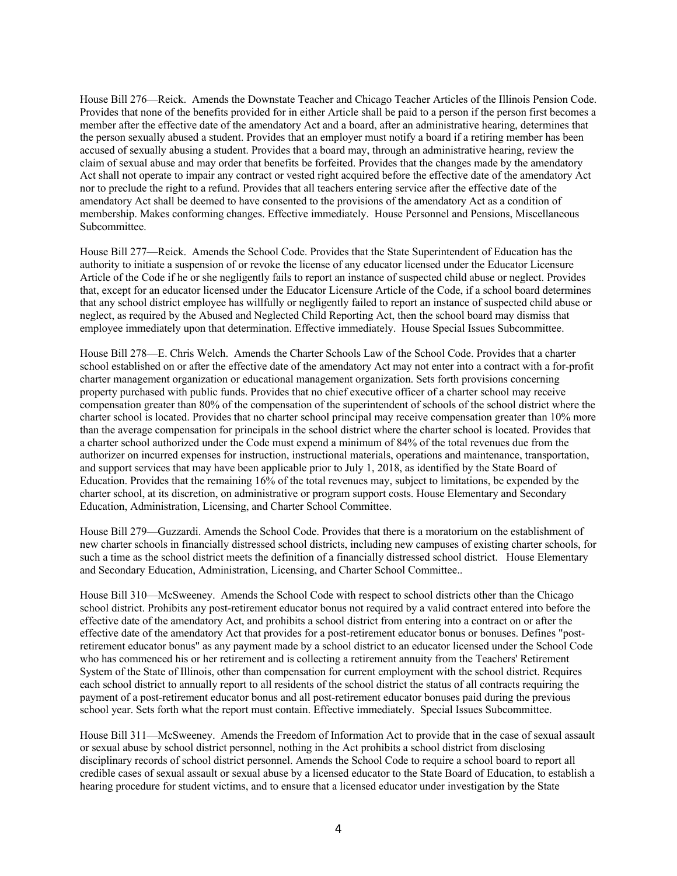House Bill 276—Reick. Amends the Downstate Teacher and Chicago Teacher Articles of the Illinois Pension Code. Provides that none of the benefits provided for in either Article shall be paid to a person if the person first becomes a member after the effective date of the amendatory Act and a board, after an administrative hearing, determines that the person sexually abused a student. Provides that an employer must notify a board if a retiring member has been accused of sexually abusing a student. Provides that a board may, through an administrative hearing, review the claim of sexual abuse and may order that benefits be forfeited. Provides that the changes made by the amendatory Act shall not operate to impair any contract or vested right acquired before the effective date of the amendatory Act nor to preclude the right to a refund. Provides that all teachers entering service after the effective date of the amendatory Act shall be deemed to have consented to the provisions of the amendatory Act as a condition of membership. Makes conforming changes. Effective immediately. House Personnel and Pensions, Miscellaneous Subcommittee.

House Bill 277—Reick. Amends the School Code. Provides that the State Superintendent of Education has the authority to initiate a suspension of or revoke the license of any educator licensed under the Educator Licensure Article of the Code if he or she negligently fails to report an instance of suspected child abuse or neglect. Provides that, except for an educator licensed under the Educator Licensure Article of the Code, if a school board determines that any school district employee has willfully or negligently failed to report an instance of suspected child abuse or neglect, as required by the Abused and Neglected Child Reporting Act, then the school board may dismiss that employee immediately upon that determination. Effective immediately. House Special Issues Subcommittee.

House Bill 278—E. Chris Welch. Amends the Charter Schools Law of the School Code. Provides that a charter school established on or after the effective date of the amendatory Act may not enter into a contract with a for-profit charter management organization or educational management organization. Sets forth provisions concerning property purchased with public funds. Provides that no chief executive officer of a charter school may receive compensation greater than 80% of the compensation of the superintendent of schools of the school district where the charter school is located. Provides that no charter school principal may receive compensation greater than 10% more than the average compensation for principals in the school district where the charter school is located. Provides that a charter school authorized under the Code must expend a minimum of 84% of the total revenues due from the authorizer on incurred expenses for instruction, instructional materials, operations and maintenance, transportation, and support services that may have been applicable prior to July 1, 2018, as identified by the State Board of Education. Provides that the remaining 16% of the total revenues may, subject to limitations, be expended by the charter school, at its discretion, on administrative or program support costs. House Elementary and Secondary Education, Administration, Licensing, and Charter School Committee.

House Bill 279—Guzzardi. Amends the School Code. Provides that there is a moratorium on the establishment of new charter schools in financially distressed school districts, including new campuses of existing charter schools, for such a time as the school district meets the definition of a financially distressed school district. House Elementary and Secondary Education, Administration, Licensing, and Charter School Committee..

House Bill 310—McSweeney. Amends the School Code with respect to school districts other than the Chicago school district. Prohibits any post-retirement educator bonus not required by a valid contract entered into before the effective date of the amendatory Act, and prohibits a school district from entering into a contract on or after the effective date of the amendatory Act that provides for a post-retirement educator bonus or bonuses. Defines "postretirement educator bonus" as any payment made by a school district to an educator licensed under the School Code who has commenced his or her retirement and is collecting a retirement annuity from the Teachers' Retirement System of the State of Illinois, other than compensation for current employment with the school district. Requires each school district to annually report to all residents of the school district the status of all contracts requiring the payment of a post-retirement educator bonus and all post-retirement educator bonuses paid during the previous school year. Sets forth what the report must contain. Effective immediately. Special Issues Subcommittee.

House Bill 311—McSweeney. Amends the Freedom of Information Act to provide that in the case of sexual assault or sexual abuse by school district personnel, nothing in the Act prohibits a school district from disclosing disciplinary records of school district personnel. Amends the School Code to require a school board to report all credible cases of sexual assault or sexual abuse by a licensed educator to the State Board of Education, to establish a hearing procedure for student victims, and to ensure that a licensed educator under investigation by the State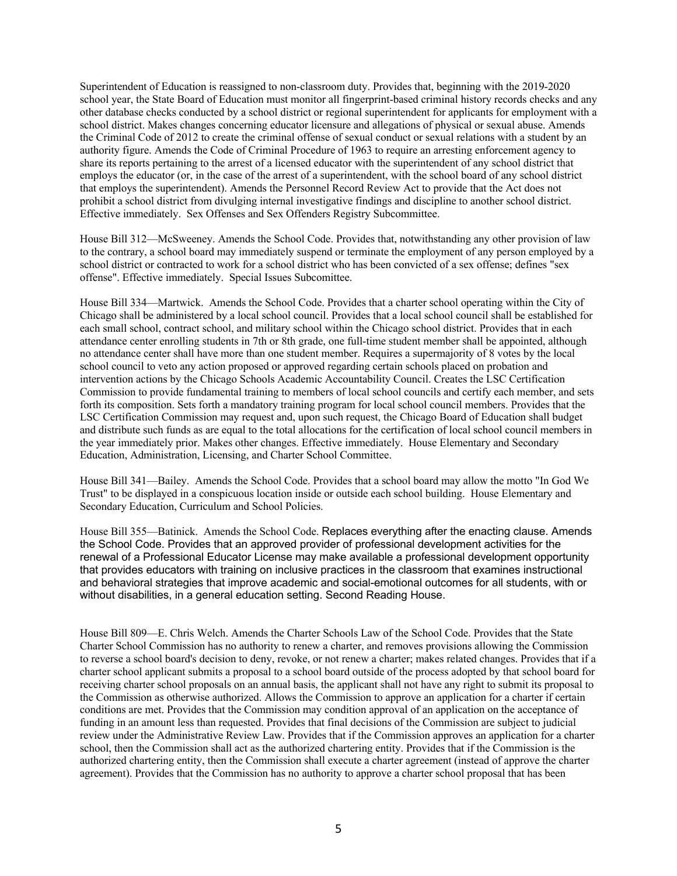Superintendent of Education is reassigned to non-classroom duty. Provides that, beginning with the 2019-2020 school year, the State Board of Education must monitor all fingerprint-based criminal history records checks and any other database checks conducted by a school district or regional superintendent for applicants for employment with a school district. Makes changes concerning educator licensure and allegations of physical or sexual abuse. Amends the Criminal Code of 2012 to create the criminal offense of sexual conduct or sexual relations with a student by an authority figure. Amends the Code of Criminal Procedure of 1963 to require an arresting enforcement agency to share its reports pertaining to the arrest of a licensed educator with the superintendent of any school district that employs the educator (or, in the case of the arrest of a superintendent, with the school board of any school district that employs the superintendent). Amends the Personnel Record Review Act to provide that the Act does not prohibit a school district from divulging internal investigative findings and discipline to another school district. Effective immediately. Sex Offenses and Sex Offenders Registry Subcommittee.

House Bill 312—McSweeney. Amends the School Code. Provides that, notwithstanding any other provision of law to the contrary, a school board may immediately suspend or terminate the employment of any person employed by a school district or contracted to work for a school district who has been convicted of a sex offense; defines "sex offense". Effective immediately. Special Issues Subcomittee.

House Bill 334—Martwick. Amends the School Code. Provides that a charter school operating within the City of Chicago shall be administered by a local school council. Provides that a local school council shall be established for each small school, contract school, and military school within the Chicago school district. Provides that in each attendance center enrolling students in 7th or 8th grade, one full-time student member shall be appointed, although no attendance center shall have more than one student member. Requires a supermajority of 8 votes by the local school council to veto any action proposed or approved regarding certain schools placed on probation and intervention actions by the Chicago Schools Academic Accountability Council. Creates the LSC Certification Commission to provide fundamental training to members of local school councils and certify each member, and sets forth its composition. Sets forth a mandatory training program for local school council members. Provides that the LSC Certification Commission may request and, upon such request, the Chicago Board of Education shall budget and distribute such funds as are equal to the total allocations for the certification of local school council members in the year immediately prior. Makes other changes. Effective immediately. House Elementary and Secondary Education, Administration, Licensing, and Charter School Committee.

House Bill 341—Bailey. Amends the School Code. Provides that a school board may allow the motto "In God We Trust" to be displayed in a conspicuous location inside or outside each school building. House Elementary and Secondary Education, Curriculum and School Policies.

House Bill 355—Batinick. Amends the School Code. Replaces everything after the enacting clause. Amends the School Code. Provides that an approved provider of professional development activities for the renewal of a Professional Educator License may make available a professional development opportunity that provides educators with training on inclusive practices in the classroom that examines instructional and behavioral strategies that improve academic and social-emotional outcomes for all students, with or without disabilities, in a general education setting. Second Reading House.

House Bill 809—E. Chris Welch. Amends the Charter Schools Law of the School Code. Provides that the State Charter School Commission has no authority to renew a charter, and removes provisions allowing the Commission to reverse a school board's decision to deny, revoke, or not renew a charter; makes related changes. Provides that if a charter school applicant submits a proposal to a school board outside of the process adopted by that school board for receiving charter school proposals on an annual basis, the applicant shall not have any right to submit its proposal to the Commission as otherwise authorized. Allows the Commission to approve an application for a charter if certain conditions are met. Provides that the Commission may condition approval of an application on the acceptance of funding in an amount less than requested. Provides that final decisions of the Commission are subject to judicial review under the Administrative Review Law. Provides that if the Commission approves an application for a charter school, then the Commission shall act as the authorized chartering entity. Provides that if the Commission is the authorized chartering entity, then the Commission shall execute a charter agreement (instead of approve the charter agreement). Provides that the Commission has no authority to approve a charter school proposal that has been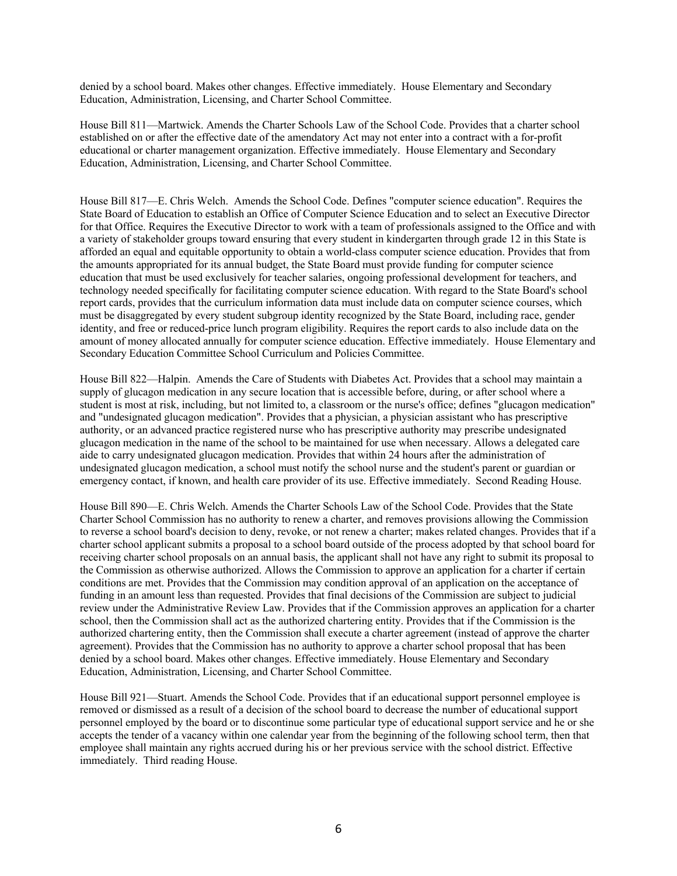denied by a school board. Makes other changes. Effective immediately. House Elementary and Secondary Education, Administration, Licensing, and Charter School Committee.

House Bill 811—Martwick. Amends the Charter Schools Law of the School Code. Provides that a charter school established on or after the effective date of the amendatory Act may not enter into a contract with a for-profit educational or charter management organization. Effective immediately. House Elementary and Secondary Education, Administration, Licensing, and Charter School Committee.

House Bill 817—E. Chris Welch. Amends the School Code. Defines "computer science education". Requires the State Board of Education to establish an Office of Computer Science Education and to select an Executive Director for that Office. Requires the Executive Director to work with a team of professionals assigned to the Office and with a variety of stakeholder groups toward ensuring that every student in kindergarten through grade 12 in this State is afforded an equal and equitable opportunity to obtain a world-class computer science education. Provides that from the amounts appropriated for its annual budget, the State Board must provide funding for computer science education that must be used exclusively for teacher salaries, ongoing professional development for teachers, and technology needed specifically for facilitating computer science education. With regard to the State Board's school report cards, provides that the curriculum information data must include data on computer science courses, which must be disaggregated by every student subgroup identity recognized by the State Board, including race, gender identity, and free or reduced-price lunch program eligibility. Requires the report cards to also include data on the amount of money allocated annually for computer science education. Effective immediately. House Elementary and Secondary Education Committee School Curriculum and Policies Committee.

House Bill 822—Halpin. Amends the Care of Students with Diabetes Act. Provides that a school may maintain a supply of glucagon medication in any secure location that is accessible before, during, or after school where a student is most at risk, including, but not limited to, a classroom or the nurse's office; defines "glucagon medication" and "undesignated glucagon medication". Provides that a physician, a physician assistant who has prescriptive authority, or an advanced practice registered nurse who has prescriptive authority may prescribe undesignated glucagon medication in the name of the school to be maintained for use when necessary. Allows a delegated care aide to carry undesignated glucagon medication. Provides that within 24 hours after the administration of undesignated glucagon medication, a school must notify the school nurse and the student's parent or guardian or emergency contact, if known, and health care provider of its use. Effective immediately. Second Reading House.

House Bill 890—E. Chris Welch. Amends the Charter Schools Law of the School Code. Provides that the State Charter School Commission has no authority to renew a charter, and removes provisions allowing the Commission to reverse a school board's decision to deny, revoke, or not renew a charter; makes related changes. Provides that if a charter school applicant submits a proposal to a school board outside of the process adopted by that school board for receiving charter school proposals on an annual basis, the applicant shall not have any right to submit its proposal to the Commission as otherwise authorized. Allows the Commission to approve an application for a charter if certain conditions are met. Provides that the Commission may condition approval of an application on the acceptance of funding in an amount less than requested. Provides that final decisions of the Commission are subject to judicial review under the Administrative Review Law. Provides that if the Commission approves an application for a charter school, then the Commission shall act as the authorized chartering entity. Provides that if the Commission is the authorized chartering entity, then the Commission shall execute a charter agreement (instead of approve the charter agreement). Provides that the Commission has no authority to approve a charter school proposal that has been denied by a school board. Makes other changes. Effective immediately. House Elementary and Secondary Education, Administration, Licensing, and Charter School Committee.

House Bill 921—Stuart. Amends the School Code. Provides that if an educational support personnel employee is removed or dismissed as a result of a decision of the school board to decrease the number of educational support personnel employed by the board or to discontinue some particular type of educational support service and he or she accepts the tender of a vacancy within one calendar year from the beginning of the following school term, then that employee shall maintain any rights accrued during his or her previous service with the school district. Effective immediately. Third reading House.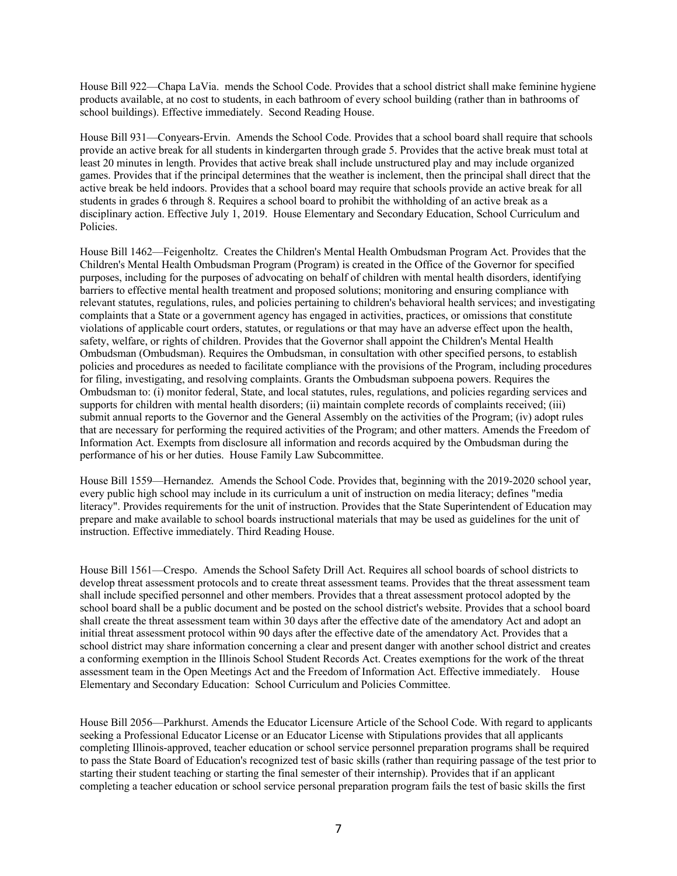House Bill 922—Chapa LaVia. mends the School Code. Provides that a school district shall make feminine hygiene products available, at no cost to students, in each bathroom of every school building (rather than in bathrooms of school buildings). Effective immediately. Second Reading House.

House Bill 931—Conyears-Ervin. Amends the School Code. Provides that a school board shall require that schools provide an active break for all students in kindergarten through grade 5. Provides that the active break must total at least 20 minutes in length. Provides that active break shall include unstructured play and may include organized games. Provides that if the principal determines that the weather is inclement, then the principal shall direct that the active break be held indoors. Provides that a school board may require that schools provide an active break for all students in grades 6 through 8. Requires a school board to prohibit the withholding of an active break as a disciplinary action. Effective July 1, 2019. House Elementary and Secondary Education, School Curriculum and Policies.

House Bill 1462—Feigenholtz. Creates the Children's Mental Health Ombudsman Program Act. Provides that the Children's Mental Health Ombudsman Program (Program) is created in the Office of the Governor for specified purposes, including for the purposes of advocating on behalf of children with mental health disorders, identifying barriers to effective mental health treatment and proposed solutions; monitoring and ensuring compliance with relevant statutes, regulations, rules, and policies pertaining to children's behavioral health services; and investigating complaints that a State or a government agency has engaged in activities, practices, or omissions that constitute violations of applicable court orders, statutes, or regulations or that may have an adverse effect upon the health, safety, welfare, or rights of children. Provides that the Governor shall appoint the Children's Mental Health Ombudsman (Ombudsman). Requires the Ombudsman, in consultation with other specified persons, to establish policies and procedures as needed to facilitate compliance with the provisions of the Program, including procedures for filing, investigating, and resolving complaints. Grants the Ombudsman subpoena powers. Requires the Ombudsman to: (i) monitor federal, State, and local statutes, rules, regulations, and policies regarding services and supports for children with mental health disorders; (ii) maintain complete records of complaints received; (iii) submit annual reports to the Governor and the General Assembly on the activities of the Program; (iv) adopt rules that are necessary for performing the required activities of the Program; and other matters. Amends the Freedom of Information Act. Exempts from disclosure all information and records acquired by the Ombudsman during the performance of his or her duties. House Family Law Subcommittee.

House Bill 1559—Hernandez. Amends the School Code. Provides that, beginning with the 2019-2020 school year, every public high school may include in its curriculum a unit of instruction on media literacy; defines "media literacy". Provides requirements for the unit of instruction. Provides that the State Superintendent of Education may prepare and make available to school boards instructional materials that may be used as guidelines for the unit of instruction. Effective immediately. Third Reading House.

House Bill 1561—Crespo. Amends the School Safety Drill Act. Requires all school boards of school districts to develop threat assessment protocols and to create threat assessment teams. Provides that the threat assessment team shall include specified personnel and other members. Provides that a threat assessment protocol adopted by the school board shall be a public document and be posted on the school district's website. Provides that a school board shall create the threat assessment team within 30 days after the effective date of the amendatory Act and adopt an initial threat assessment protocol within 90 days after the effective date of the amendatory Act. Provides that a school district may share information concerning a clear and present danger with another school district and creates a conforming exemption in the Illinois School Student Records Act. Creates exemptions for the work of the threat assessment team in the Open Meetings Act and the Freedom of Information Act. Effective immediately. House Elementary and Secondary Education: School Curriculum and Policies Committee.

House Bill 2056—Parkhurst. Amends the Educator Licensure Article of the School Code. With regard to applicants seeking a Professional Educator License or an Educator License with Stipulations provides that all applicants completing Illinois-approved, teacher education or school service personnel preparation programs shall be required to pass the State Board of Education's recognized test of basic skills (rather than requiring passage of the test prior to starting their student teaching or starting the final semester of their internship). Provides that if an applicant completing a teacher education or school service personal preparation program fails the test of basic skills the first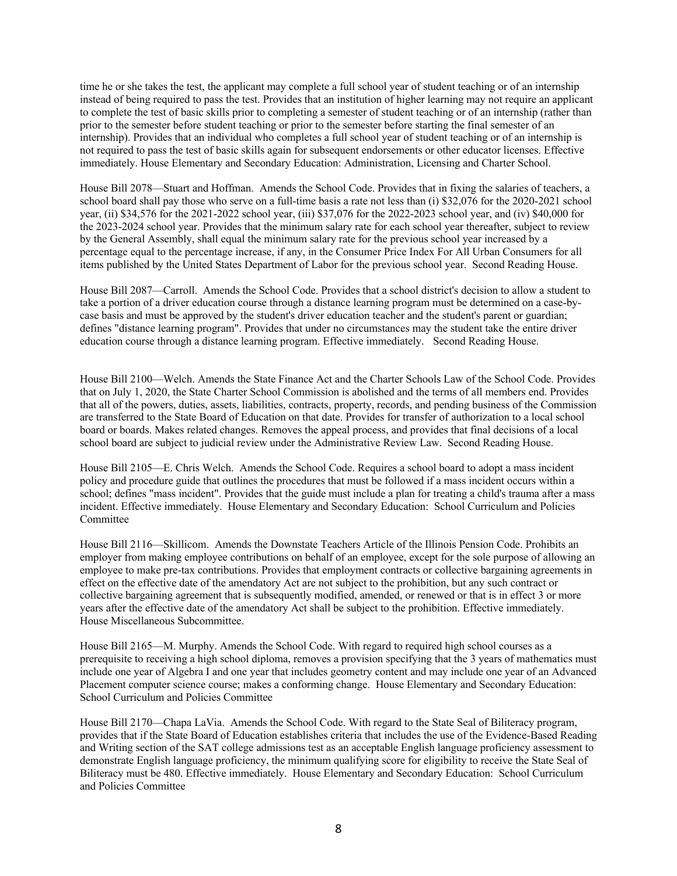time he or she takes the test, the applicant may complete a full school year of student teaching or of an internship instead of being required to pass the test. Provides that an institution of higher learning may not require an applicant to complete the test of basic skills prior to completing a semester of student teaching or of an internship (rather than prior to the semester before student teaching or prior to the semester before starting the final semester of an internship). Provides that an individual who completes a full school year of student teaching or of an internship is not required to pass the test of basic skills again for subsequent endorsements or other educator licenses. Effective immediately. House Elementary and Secondary Education: Administration, Licensing and Charter School.

House Bill 2078—Stuart and Hoffman. Amends the School Code. Provides that in fixing the salaries of teachers, a school board shall pay those who serve on a full-time basis a rate not less than (i) \$32,076 for the 2020-2021 school year, (ii) \$34,576 for the 2021-2022 school year, (iii) \$37,076 for the 2022-2023 school year, and (iv) \$40,000 for the 2023-2024 school year. Provides that the minimum salary rate for each school year thereafter, subject to review by the General Assembly, shall equal the minimum salary rate for the previous school year increased by a percentage equal to the percentage increase, if any, in the Consumer Price Index For All Urban Consumers for all items published by the United States Department of Labor for the previous school year. Second Reading House.

House Bill 2087—Carroll. Amends the School Code. Provides that a school district's decision to allow a student to take a portion of a driver education course through a distance learning program must be determined on a case-bycase basis and must be approved by the student's driver education teacher and the student's parent or guardian; defines "distance learning program". Provides that under no circumstances may the student take the entire driver education course through a distance learning program. Effective immediately. Second Reading House.

House Bill 2100—Welch. Amends the State Finance Act and the Charter Schools Law of the School Code. Provides that on July 1, 2020, the State Charter School Commission is abolished and the terms of all members end. Provides that all of the powers, duties, assets, liabilities, contracts, property, records, and pending business of the Commission are transferred to the State Board of Education on that date. Provides for transfer of authorization to a local school board or boards. Makes related changes. Removes the appeal process, and provides that final decisions of a local school board are subject to judicial review under the Administrative Review Law. Second Reading House.

House Bill 2105—E. Chris Welch. Amends the School Code. Requires a school board to adopt a mass incident policy and procedure guide that outlines the procedures that must be followed if a mass incident occurs within a school; defines "mass incident". Provides that the guide must include a plan for treating a child's trauma after a mass incident. Effective immediately. House Elementary and Secondary Education: School Curriculum and Policies Committee

House Bill 2116—Skillicom. Amends the Downstate Teachers Article of the Illinois Pension Code. Prohibits an employer from making employee contributions on behalf of an employee, except for the sole purpose of allowing an employee to make pre-tax contributions. Provides that employment contracts or collective bargaining agreements in effect on the effective date of the amendatory Act are not subject to the prohibition, but any such contract or collective bargaining agreement that is subsequently modified, amended, or renewed or that is in effect 3 or more years after the effective date of the amendatory Act shall be subject to the prohibition. Effective immediately. House Miscellaneous Subcommittee.

House Bill 2165—M. Murphy. Amends the School Code. With regard to required high school courses as a prerequisite to receiving a high school diploma, removes a provision specifying that the 3 years of mathematics must include one year of Algebra I and one year that includes geometry content and may include one year of an Advanced Placement computer science course; makes a conforming change. House Elementary and Secondary Education: School Curriculum and Policies Committee

House Bill 2170—Chapa LaVia. Amends the School Code. With regard to the State Seal of Biliteracy program, provides that if the State Board of Education establishes criteria that includes the use of the Evidence-Based Reading and Writing section of the SAT college admissions test as an acceptable English language proficiency assessment to demonstrate English language proficiency, the minimum qualifying score for eligibility to receive the State Seal of Biliteracy must be 480. Effective immediately. House Elementary and Secondary Education: School Curriculum and Policies Committee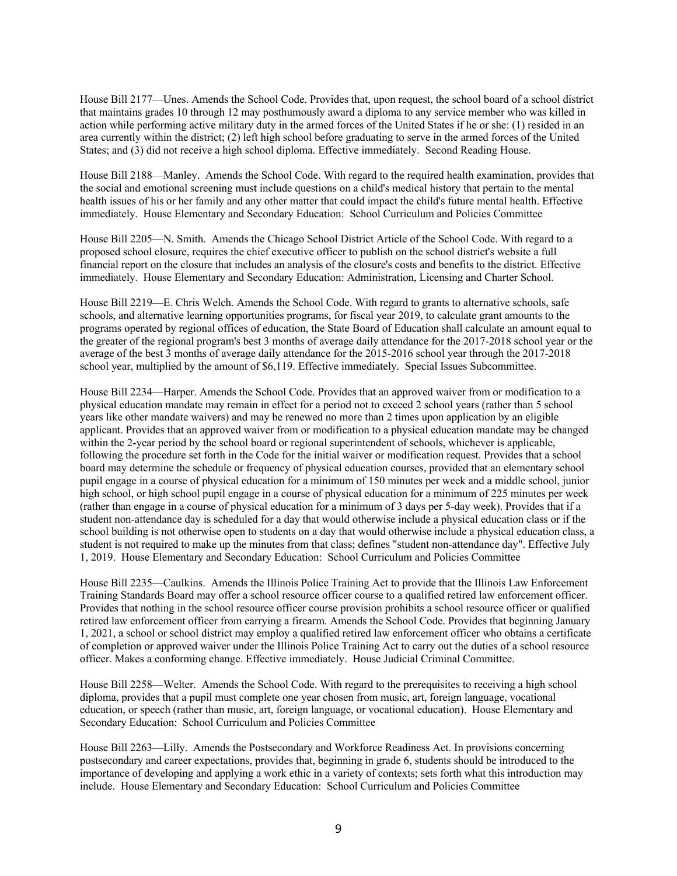House Bill 2177—Unes. Amends the School Code. Provides that, upon request, the school board of a school district that maintains grades 10 through 12 may posthumously award a diploma to any service member who was killed in action while performing active military duty in the armed forces of the United States if he or she: (1) resided in an area currently within the district; (2) left high school before graduating to serve in the armed forces of the United States; and (3) did not receive a high school diploma. Effective immediately. Second Reading House.

House Bill 2188—Manley. Amends the School Code. With regard to the required health examination, provides that the social and emotional screening must include questions on a child's medical history that pertain to the mental health issues of his or her family and any other matter that could impact the child's future mental health. Effective immediately. House Elementary and Secondary Education: School Curriculum and Policies Committee

House Bill 2205—N. Smith. Amends the Chicago School District Article of the School Code. With regard to a proposed school closure, requires the chief executive officer to publish on the school district's website a full financial report on the closure that includes an analysis of the closure's costs and benefits to the district. Effective immediately. House Elementary and Secondary Education: Administration, Licensing and Charter School.

House Bill 2219—E. Chris Welch. Amends the School Code. With regard to grants to alternative schools, safe schools, and alternative learning opportunities programs, for fiscal year 2019, to calculate grant amounts to the programs operated by regional offices of education, the State Board of Education shall calculate an amount equal to the greater of the regional program's best 3 months of average daily attendance for the 2017-2018 school year or the average of the best 3 months of average daily attendance for the 2015-2016 school year through the 2017-2018 school year, multiplied by the amount of \$6,119. Effective immediately. Special Issues Subcommittee.

House Bill 2234—Harper. Amends the School Code. Provides that an approved waiver from or modification to a physical education mandate may remain in effect for a period not to exceed 2 school years (rather than 5 school years like other mandate waivers) and may be renewed no more than 2 times upon application by an eligible applicant. Provides that an approved waiver from or modification to a physical education mandate may be changed within the 2-year period by the school board or regional superintendent of schools, whichever is applicable, following the procedure set forth in the Code for the initial waiver or modification request. Provides that a school board may determine the schedule or frequency of physical education courses, provided that an elementary school pupil engage in a course of physical education for a minimum of 150 minutes per week and a middle school, junior high school, or high school pupil engage in a course of physical education for a minimum of 225 minutes per week (rather than engage in a course of physical education for a minimum of 3 days per 5-day week). Provides that if a student non-attendance day is scheduled for a day that would otherwise include a physical education class or if the school building is not otherwise open to students on a day that would otherwise include a physical education class, a student is not required to make up the minutes from that class; defines "student non-attendance day". Effective July 1, 2019. House Elementary and Secondary Education: School Curriculum and Policies Committee

House Bill 2235—Caulkins. Amends the Illinois Police Training Act to provide that the Illinois Law Enforcement Training Standards Board may offer a school resource officer course to a qualified retired law enforcement officer. Provides that nothing in the school resource officer course provision prohibits a school resource officer or qualified retired law enforcement officer from carrying a firearm. Amends the School Code. Provides that beginning January 1, 2021, a school or school district may employ a qualified retired law enforcement officer who obtains a certificate of completion or approved waiver under the Illinois Police Training Act to carry out the duties of a school resource officer. Makes a conforming change. Effective immediately. House Judicial Criminal Committee.

House Bill 2258—Welter. Amends the School Code. With regard to the prerequisites to receiving a high school diploma, provides that a pupil must complete one year chosen from music, art, foreign language, vocational education, or speech (rather than music, art, foreign language, or vocational education). House Elementary and Secondary Education: School Curriculum and Policies Committee

House Bill 2263—Lilly. Amends the Postsecondary and Workforce Readiness Act. In provisions concerning postsecondary and career expectations, provides that, beginning in grade 6, students should be introduced to the importance of developing and applying a work ethic in a variety of contexts; sets forth what this introduction may include. House Elementary and Secondary Education: School Curriculum and Policies Committee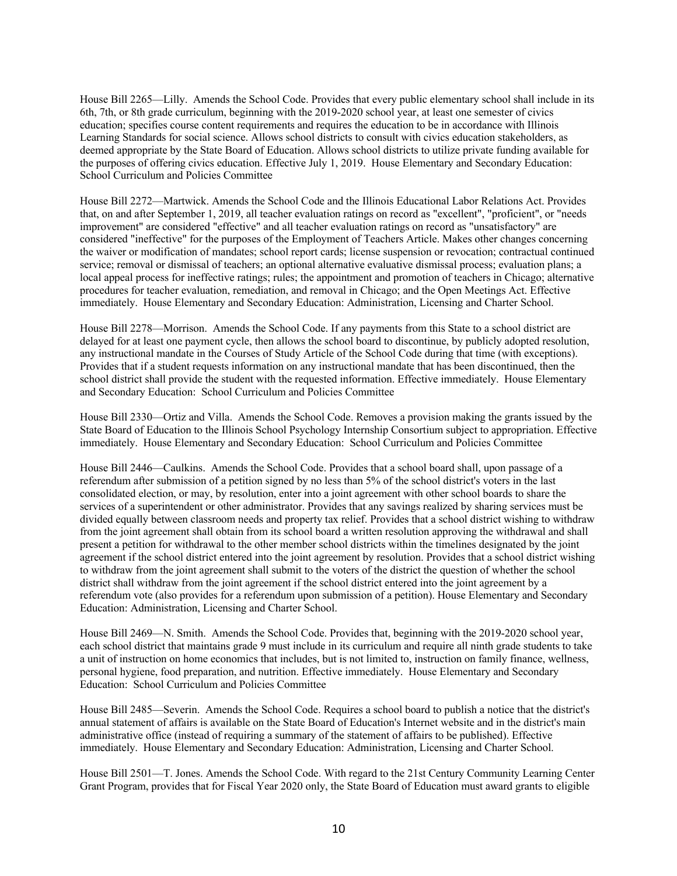House Bill 2265—Lilly. Amends the School Code. Provides that every public elementary school shall include in its 6th, 7th, or 8th grade curriculum, beginning with the 2019-2020 school year, at least one semester of civics education; specifies course content requirements and requires the education to be in accordance with Illinois Learning Standards for social science. Allows school districts to consult with civics education stakeholders, as deemed appropriate by the State Board of Education. Allows school districts to utilize private funding available for the purposes of offering civics education. Effective July 1, 2019. House Elementary and Secondary Education: School Curriculum and Policies Committee

House Bill 2272—Martwick. Amends the School Code and the Illinois Educational Labor Relations Act. Provides that, on and after September 1, 2019, all teacher evaluation ratings on record as "excellent", "proficient", or "needs improvement" are considered "effective" and all teacher evaluation ratings on record as "unsatisfactory" are considered "ineffective" for the purposes of the Employment of Teachers Article. Makes other changes concerning the waiver or modification of mandates; school report cards; license suspension or revocation; contractual continued service; removal or dismissal of teachers; an optional alternative evaluative dismissal process; evaluation plans; a local appeal process for ineffective ratings; rules; the appointment and promotion of teachers in Chicago; alternative procedures for teacher evaluation, remediation, and removal in Chicago; and the Open Meetings Act. Effective immediately. House Elementary and Secondary Education: Administration, Licensing and Charter School.

House Bill 2278—Morrison. Amends the School Code. If any payments from this State to a school district are delayed for at least one payment cycle, then allows the school board to discontinue, by publicly adopted resolution, any instructional mandate in the Courses of Study Article of the School Code during that time (with exceptions). Provides that if a student requests information on any instructional mandate that has been discontinued, then the school district shall provide the student with the requested information. Effective immediately. House Elementary and Secondary Education: School Curriculum and Policies Committee

House Bill 2330—Ortiz and Villa. Amends the School Code. Removes a provision making the grants issued by the State Board of Education to the Illinois School Psychology Internship Consortium subject to appropriation. Effective immediately. House Elementary and Secondary Education: School Curriculum and Policies Committee

House Bill 2446—Caulkins. Amends the School Code. Provides that a school board shall, upon passage of a referendum after submission of a petition signed by no less than 5% of the school district's voters in the last consolidated election, or may, by resolution, enter into a joint agreement with other school boards to share the services of a superintendent or other administrator. Provides that any savings realized by sharing services must be divided equally between classroom needs and property tax relief. Provides that a school district wishing to withdraw from the joint agreement shall obtain from its school board a written resolution approving the withdrawal and shall present a petition for withdrawal to the other member school districts within the timelines designated by the joint agreement if the school district entered into the joint agreement by resolution. Provides that a school district wishing to withdraw from the joint agreement shall submit to the voters of the district the question of whether the school district shall withdraw from the joint agreement if the school district entered into the joint agreement by a referendum vote (also provides for a referendum upon submission of a petition). House Elementary and Secondary Education: Administration, Licensing and Charter School.

House Bill 2469—N. Smith. Amends the School Code. Provides that, beginning with the 2019-2020 school year, each school district that maintains grade 9 must include in its curriculum and require all ninth grade students to take a unit of instruction on home economics that includes, but is not limited to, instruction on family finance, wellness, personal hygiene, food preparation, and nutrition. Effective immediately. House Elementary and Secondary Education: School Curriculum and Policies Committee

House Bill 2485—Severin. Amends the School Code. Requires a school board to publish a notice that the district's annual statement of affairs is available on the State Board of Education's Internet website and in the district's main administrative office (instead of requiring a summary of the statement of affairs to be published). Effective immediately. House Elementary and Secondary Education: Administration, Licensing and Charter School.

House Bill 2501—T. Jones. Amends the School Code. With regard to the 21st Century Community Learning Center Grant Program, provides that for Fiscal Year 2020 only, the State Board of Education must award grants to eligible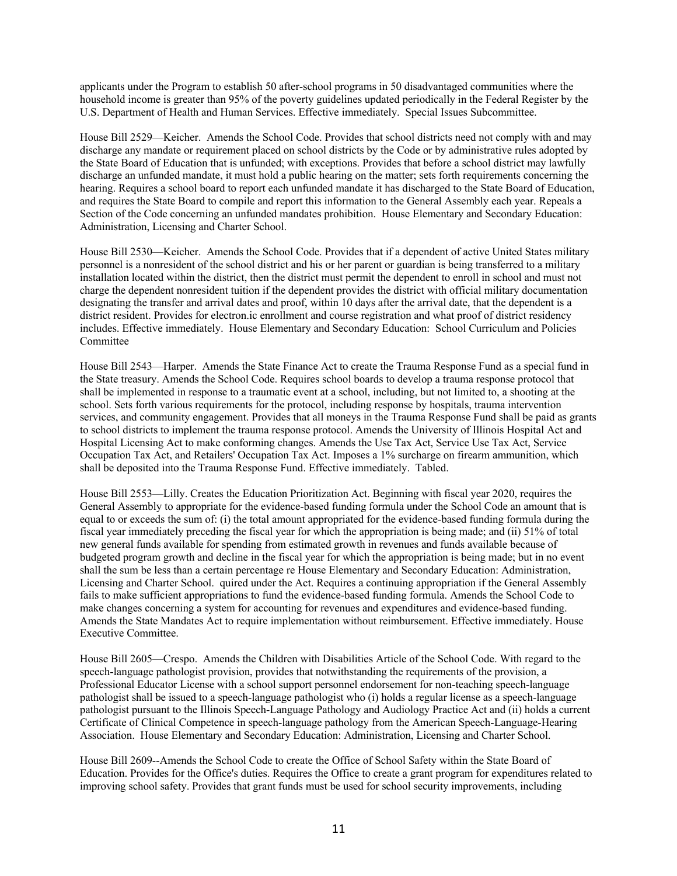applicants under the Program to establish 50 after-school programs in 50 disadvantaged communities where the household income is greater than 95% of the poverty guidelines updated periodically in the Federal Register by the U.S. Department of Health and Human Services. Effective immediately. Special Issues Subcommittee.

House Bill 2529—Keicher. Amends the School Code. Provides that school districts need not comply with and may discharge any mandate or requirement placed on school districts by the Code or by administrative rules adopted by the State Board of Education that is unfunded; with exceptions. Provides that before a school district may lawfully discharge an unfunded mandate, it must hold a public hearing on the matter; sets forth requirements concerning the hearing. Requires a school board to report each unfunded mandate it has discharged to the State Board of Education, and requires the State Board to compile and report this information to the General Assembly each year. Repeals a Section of the Code concerning an unfunded mandates prohibition. House Elementary and Secondary Education: Administration, Licensing and Charter School.

House Bill 2530—Keicher. Amends the School Code. Provides that if a dependent of active United States military personnel is a nonresident of the school district and his or her parent or guardian is being transferred to a military installation located within the district, then the district must permit the dependent to enroll in school and must not charge the dependent nonresident tuition if the dependent provides the district with official military documentation designating the transfer and arrival dates and proof, within 10 days after the arrival date, that the dependent is a district resident. Provides for electron.ic enrollment and course registration and what proof of district residency includes. Effective immediately. House Elementary and Secondary Education: School Curriculum and Policies Committee

House Bill 2543—Harper. Amends the State Finance Act to create the Trauma Response Fund as a special fund in the State treasury. Amends the School Code. Requires school boards to develop a trauma response protocol that shall be implemented in response to a traumatic event at a school, including, but not limited to, a shooting at the school. Sets forth various requirements for the protocol, including response by hospitals, trauma intervention services, and community engagement. Provides that all moneys in the Trauma Response Fund shall be paid as grants to school districts to implement the trauma response protocol. Amends the University of Illinois Hospital Act and Hospital Licensing Act to make conforming changes. Amends the Use Tax Act, Service Use Tax Act, Service Occupation Tax Act, and Retailers' Occupation Tax Act. Imposes a 1% surcharge on firearm ammunition, which shall be deposited into the Trauma Response Fund. Effective immediately. Tabled.

House Bill 2553—Lilly. Creates the Education Prioritization Act. Beginning with fiscal year 2020, requires the General Assembly to appropriate for the evidence-based funding formula under the School Code an amount that is equal to or exceeds the sum of: (i) the total amount appropriated for the evidence-based funding formula during the fiscal year immediately preceding the fiscal year for which the appropriation is being made; and (ii) 51% of total new general funds available for spending from estimated growth in revenues and funds available because of budgeted program growth and decline in the fiscal year for which the appropriation is being made; but in no event shall the sum be less than a certain percentage re House Elementary and Secondary Education: Administration, Licensing and Charter School. quired under the Act. Requires a continuing appropriation if the General Assembly fails to make sufficient appropriations to fund the evidence-based funding formula. Amends the School Code to make changes concerning a system for accounting for revenues and expenditures and evidence-based funding. Amends the State Mandates Act to require implementation without reimbursement. Effective immediately. House Executive Committee.

House Bill 2605—Crespo. Amends the Children with Disabilities Article of the School Code. With regard to the speech-language pathologist provision, provides that notwithstanding the requirements of the provision, a Professional Educator License with a school support personnel endorsement for non-teaching speech-language pathologist shall be issued to a speech-language pathologist who (i) holds a regular license as a speech-language pathologist pursuant to the Illinois Speech-Language Pathology and Audiology Practice Act and (ii) holds a current Certificate of Clinical Competence in speech-language pathology from the American Speech-Language-Hearing Association. House Elementary and Secondary Education: Administration, Licensing and Charter School.

House Bill 2609--Amends the School Code to create the Office of School Safety within the State Board of Education. Provides for the Office's duties. Requires the Office to create a grant program for expenditures related to improving school safety. Provides that grant funds must be used for school security improvements, including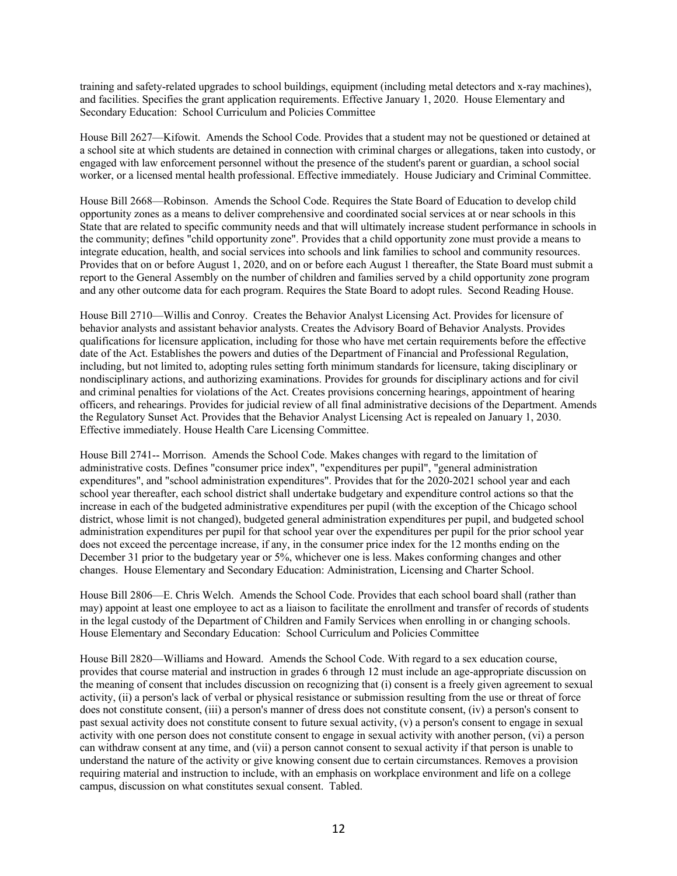training and safety-related upgrades to school buildings, equipment (including metal detectors and x-ray machines), and facilities. Specifies the grant application requirements. Effective January 1, 2020. House Elementary and Secondary Education: School Curriculum and Policies Committee

House Bill 2627—Kifowit. Amends the School Code. Provides that a student may not be questioned or detained at a school site at which students are detained in connection with criminal charges or allegations, taken into custody, or engaged with law enforcement personnel without the presence of the student's parent or guardian, a school social worker, or a licensed mental health professional. Effective immediately. House Judiciary and Criminal Committee.

House Bill 2668—Robinson. Amends the School Code. Requires the State Board of Education to develop child opportunity zones as a means to deliver comprehensive and coordinated social services at or near schools in this State that are related to specific community needs and that will ultimately increase student performance in schools in the community; defines "child opportunity zone". Provides that a child opportunity zone must provide a means to integrate education, health, and social services into schools and link families to school and community resources. Provides that on or before August 1, 2020, and on or before each August 1 thereafter, the State Board must submit a report to the General Assembly on the number of children and families served by a child opportunity zone program and any other outcome data for each program. Requires the State Board to adopt rules. Second Reading House.

House Bill 2710—Willis and Conroy. Creates the Behavior Analyst Licensing Act. Provides for licensure of behavior analysts and assistant behavior analysts. Creates the Advisory Board of Behavior Analysts. Provides qualifications for licensure application, including for those who have met certain requirements before the effective date of the Act. Establishes the powers and duties of the Department of Financial and Professional Regulation, including, but not limited to, adopting rules setting forth minimum standards for licensure, taking disciplinary or nondisciplinary actions, and authorizing examinations. Provides for grounds for disciplinary actions and for civil and criminal penalties for violations of the Act. Creates provisions concerning hearings, appointment of hearing officers, and rehearings. Provides for judicial review of all final administrative decisions of the Department. Amends the Regulatory Sunset Act. Provides that the Behavior Analyst Licensing Act is repealed on January 1, 2030. Effective immediately. House Health Care Licensing Committee.

House Bill 2741-- Morrison. Amends the School Code. Makes changes with regard to the limitation of administrative costs. Defines "consumer price index", "expenditures per pupil", "general administration expenditures", and "school administration expenditures". Provides that for the 2020-2021 school year and each school year thereafter, each school district shall undertake budgetary and expenditure control actions so that the increase in each of the budgeted administrative expenditures per pupil (with the exception of the Chicago school district, whose limit is not changed), budgeted general administration expenditures per pupil, and budgeted school administration expenditures per pupil for that school year over the expenditures per pupil for the prior school year does not exceed the percentage increase, if any, in the consumer price index for the 12 months ending on the December 31 prior to the budgetary year or 5%, whichever one is less. Makes conforming changes and other changes. House Elementary and Secondary Education: Administration, Licensing and Charter School.

House Bill 2806—E. Chris Welch. Amends the School Code. Provides that each school board shall (rather than may) appoint at least one employee to act as a liaison to facilitate the enrollment and transfer of records of students in the legal custody of the Department of Children and Family Services when enrolling in or changing schools. House Elementary and Secondary Education: School Curriculum and Policies Committee

House Bill 2820—Williams and Howard. Amends the School Code. With regard to a sex education course, provides that course material and instruction in grades 6 through 12 must include an age-appropriate discussion on the meaning of consent that includes discussion on recognizing that (i) consent is a freely given agreement to sexual activity, (ii) a person's lack of verbal or physical resistance or submission resulting from the use or threat of force does not constitute consent, (iii) a person's manner of dress does not constitute consent, (iv) a person's consent to past sexual activity does not constitute consent to future sexual activity, (v) a person's consent to engage in sexual activity with one person does not constitute consent to engage in sexual activity with another person, (vi) a person can withdraw consent at any time, and (vii) a person cannot consent to sexual activity if that person is unable to understand the nature of the activity or give knowing consent due to certain circumstances. Removes a provision requiring material and instruction to include, with an emphasis on workplace environment and life on a college campus, discussion on what constitutes sexual consent. Tabled.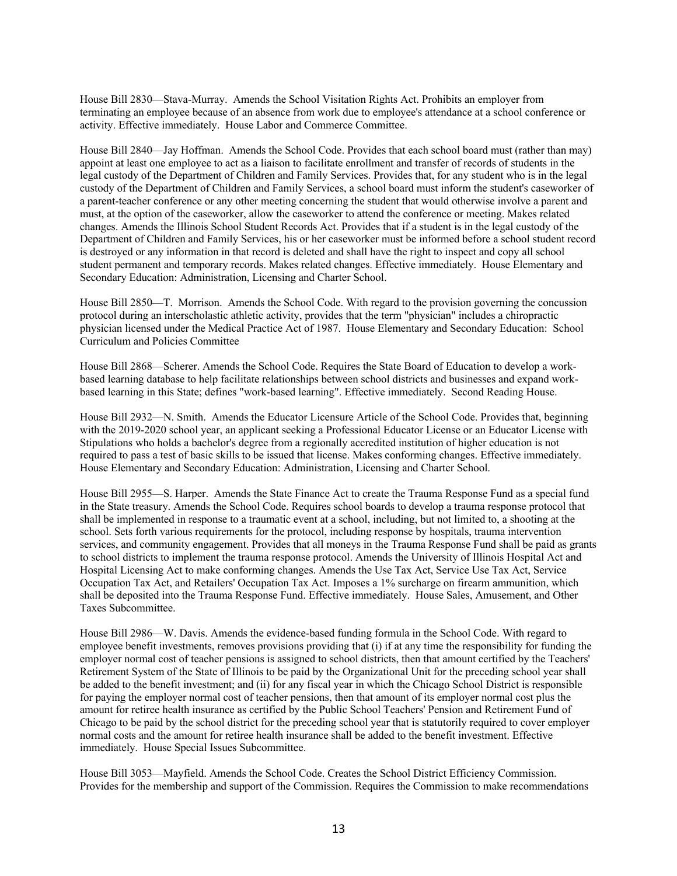House Bill 2830—Stava-Murray. Amends the School Visitation Rights Act. Prohibits an employer from terminating an employee because of an absence from work due to employee's attendance at a school conference or activity. Effective immediately. House Labor and Commerce Committee.

House Bill 2840—Jay Hoffman. Amends the School Code. Provides that each school board must (rather than may) appoint at least one employee to act as a liaison to facilitate enrollment and transfer of records of students in the legal custody of the Department of Children and Family Services. Provides that, for any student who is in the legal custody of the Department of Children and Family Services, a school board must inform the student's caseworker of a parent-teacher conference or any other meeting concerning the student that would otherwise involve a parent and must, at the option of the caseworker, allow the caseworker to attend the conference or meeting. Makes related changes. Amends the Illinois School Student Records Act. Provides that if a student is in the legal custody of the Department of Children and Family Services, his or her caseworker must be informed before a school student record is destroyed or any information in that record is deleted and shall have the right to inspect and copy all school student permanent and temporary records. Makes related changes. Effective immediately. House Elementary and Secondary Education: Administration, Licensing and Charter School.

House Bill 2850—T. Morrison. Amends the School Code. With regard to the provision governing the concussion protocol during an interscholastic athletic activity, provides that the term "physician" includes a chiropractic physician licensed under the Medical Practice Act of 1987. House Elementary and Secondary Education: School Curriculum and Policies Committee

House Bill 2868—Scherer. Amends the School Code. Requires the State Board of Education to develop a workbased learning database to help facilitate relationships between school districts and businesses and expand workbased learning in this State; defines "work-based learning". Effective immediately. Second Reading House.

House Bill 2932—N. Smith. Amends the Educator Licensure Article of the School Code. Provides that, beginning with the 2019-2020 school year, an applicant seeking a Professional Educator License or an Educator License with Stipulations who holds a bachelor's degree from a regionally accredited institution of higher education is not required to pass a test of basic skills to be issued that license. Makes conforming changes. Effective immediately. House Elementary and Secondary Education: Administration, Licensing and Charter School.

House Bill 2955—S. Harper. Amends the State Finance Act to create the Trauma Response Fund as a special fund in the State treasury. Amends the School Code. Requires school boards to develop a trauma response protocol that shall be implemented in response to a traumatic event at a school, including, but not limited to, a shooting at the school. Sets forth various requirements for the protocol, including response by hospitals, trauma intervention services, and community engagement. Provides that all moneys in the Trauma Response Fund shall be paid as grants to school districts to implement the trauma response protocol. Amends the University of Illinois Hospital Act and Hospital Licensing Act to make conforming changes. Amends the Use Tax Act, Service Use Tax Act, Service Occupation Tax Act, and Retailers' Occupation Tax Act. Imposes a 1% surcharge on firearm ammunition, which shall be deposited into the Trauma Response Fund. Effective immediately. House Sales, Amusement, and Other Taxes Subcommittee.

House Bill 2986—W. Davis. Amends the evidence-based funding formula in the School Code. With regard to employee benefit investments, removes provisions providing that (i) if at any time the responsibility for funding the employer normal cost of teacher pensions is assigned to school districts, then that amount certified by the Teachers' Retirement System of the State of Illinois to be paid by the Organizational Unit for the preceding school year shall be added to the benefit investment; and (ii) for any fiscal year in which the Chicago School District is responsible for paying the employer normal cost of teacher pensions, then that amount of its employer normal cost plus the amount for retiree health insurance as certified by the Public School Teachers' Pension and Retirement Fund of Chicago to be paid by the school district for the preceding school year that is statutorily required to cover employer normal costs and the amount for retiree health insurance shall be added to the benefit investment. Effective immediately. House Special Issues Subcommittee.

House Bill 3053—Mayfield. Amends the School Code. Creates the School District Efficiency Commission. Provides for the membership and support of the Commission. Requires the Commission to make recommendations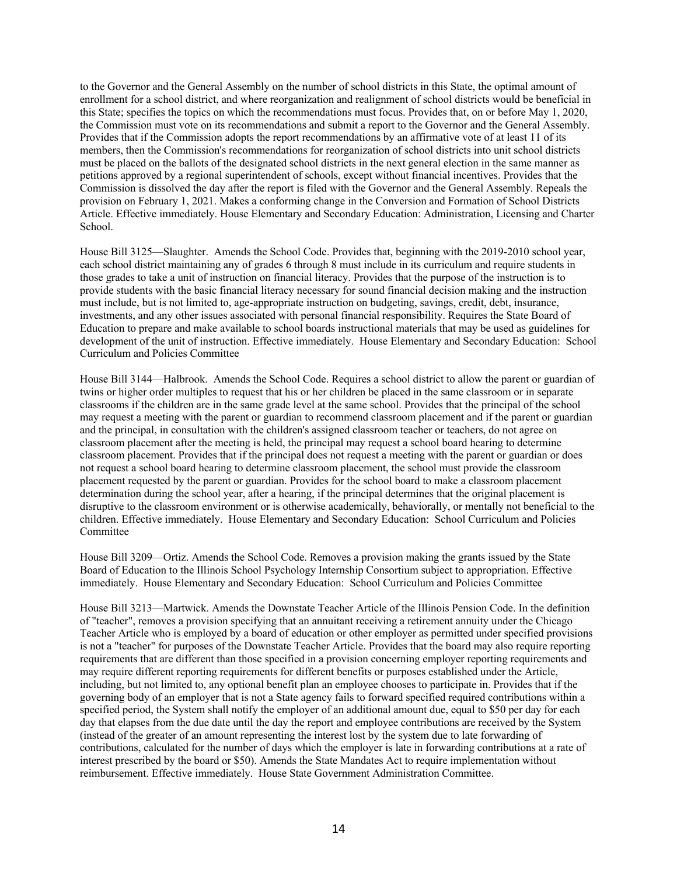to the Governor and the General Assembly on the number of school districts in this State, the optimal amount of enrollment for a school district, and where reorganization and realignment of school districts would be beneficial in this State; specifies the topics on which the recommendations must focus. Provides that, on or before May 1, 2020, the Commission must vote on its recommendations and submit a report to the Governor and the General Assembly. Provides that if the Commission adopts the report recommendations by an affirmative vote of at least 11 of its members, then the Commission's recommendations for reorganization of school districts into unit school districts must be placed on the ballots of the designated school districts in the next general election in the same manner as petitions approved by a regional superintendent of schools, except without financial incentives. Provides that the Commission is dissolved the day after the report is filed with the Governor and the General Assembly. Repeals the provision on February 1, 2021. Makes a conforming change in the Conversion and Formation of School Districts Article. Effective immediately. House Elementary and Secondary Education: Administration, Licensing and Charter School.

House Bill 3125—Slaughter. Amends the School Code. Provides that, beginning with the 2019-2010 school year, each school district maintaining any of grades 6 through 8 must include in its curriculum and require students in those grades to take a unit of instruction on financial literacy. Provides that the purpose of the instruction is to provide students with the basic financial literacy necessary for sound financial decision making and the instruction must include, but is not limited to, age-appropriate instruction on budgeting, savings, credit, debt, insurance, investments, and any other issues associated with personal financial responsibility. Requires the State Board of Education to prepare and make available to school boards instructional materials that may be used as guidelines for development of the unit of instruction. Effective immediately. House Elementary and Secondary Education: School Curriculum and Policies Committee

House Bill 3144—Halbrook. Amends the School Code. Requires a school district to allow the parent or guardian of twins or higher order multiples to request that his or her children be placed in the same classroom or in separate classrooms if the children are in the same grade level at the same school. Provides that the principal of the school may request a meeting with the parent or guardian to recommend classroom placement and if the parent or guardian and the principal, in consultation with the children's assigned classroom teacher or teachers, do not agree on classroom placement after the meeting is held, the principal may request a school board hearing to determine classroom placement. Provides that if the principal does not request a meeting with the parent or guardian or does not request a school board hearing to determine classroom placement, the school must provide the classroom placement requested by the parent or guardian. Provides for the school board to make a classroom placement determination during the school year, after a hearing, if the principal determines that the original placement is disruptive to the classroom environment or is otherwise academically, behaviorally, or mentally not beneficial to the children. Effective immediately. House Elementary and Secondary Education: School Curriculum and Policies Committee

House Bill 3209—Ortiz. Amends the School Code. Removes a provision making the grants issued by the State Board of Education to the Illinois School Psychology Internship Consortium subject to appropriation. Effective immediately. House Elementary and Secondary Education: School Curriculum and Policies Committee

House Bill 3213—Martwick. Amends the Downstate Teacher Article of the Illinois Pension Code. In the definition of "teacher", removes a provision specifying that an annuitant receiving a retirement annuity under the Chicago Teacher Article who is employed by a board of education or other employer as permitted under specified provisions is not a "teacher" for purposes of the Downstate Teacher Article. Provides that the board may also require reporting requirements that are different than those specified in a provision concerning employer reporting requirements and may require different reporting requirements for different benefits or purposes established under the Article, including, but not limited to, any optional benefit plan an employee chooses to participate in. Provides that if the governing body of an employer that is not a State agency fails to forward specified required contributions within a specified period, the System shall notify the employer of an additional amount due, equal to \$50 per day for each day that elapses from the due date until the day the report and employee contributions are received by the System (instead of the greater of an amount representing the interest lost by the system due to late forwarding of contributions, calculated for the number of days which the employer is late in forwarding contributions at a rate of interest prescribed by the board or \$50). Amends the State Mandates Act to require implementation without reimbursement. Effective immediately. House State Government Administration Committee.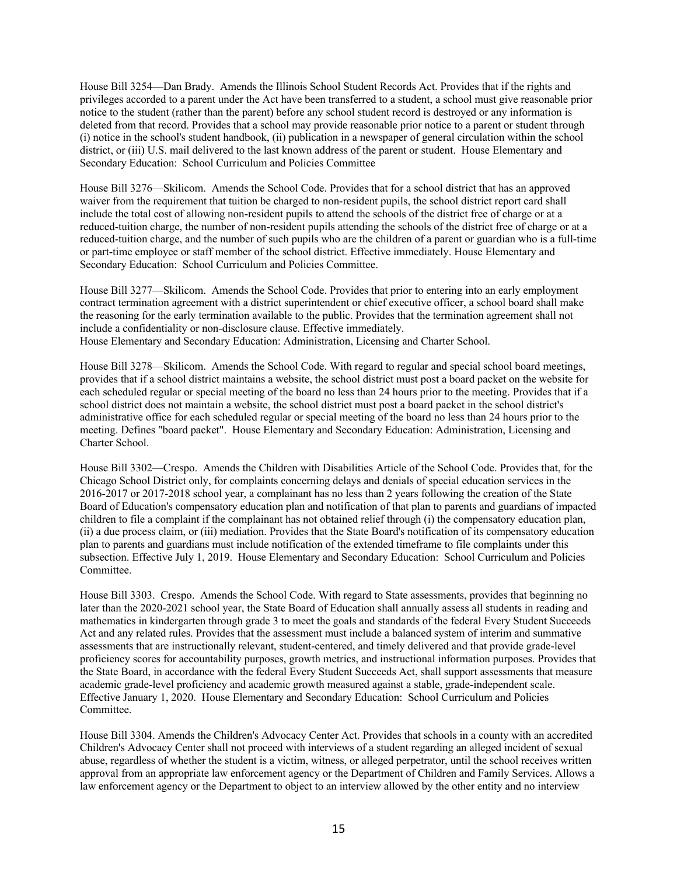House Bill 3254—Dan Brady. Amends the Illinois School Student Records Act. Provides that if the rights and privileges accorded to a parent under the Act have been transferred to a student, a school must give reasonable prior notice to the student (rather than the parent) before any school student record is destroyed or any information is deleted from that record. Provides that a school may provide reasonable prior notice to a parent or student through (i) notice in the school's student handbook, (ii) publication in a newspaper of general circulation within the school district, or (iii) U.S. mail delivered to the last known address of the parent or student. House Elementary and Secondary Education: School Curriculum and Policies Committee

House Bill 3276—Skilicom. Amends the School Code. Provides that for a school district that has an approved waiver from the requirement that tuition be charged to non-resident pupils, the school district report card shall include the total cost of allowing non-resident pupils to attend the schools of the district free of charge or at a reduced-tuition charge, the number of non-resident pupils attending the schools of the district free of charge or at a reduced-tuition charge, and the number of such pupils who are the children of a parent or guardian who is a full-time or part-time employee or staff member of the school district. Effective immediately. House Elementary and Secondary Education: School Curriculum and Policies Committee.

House Bill 3277—Skilicom. Amends the School Code. Provides that prior to entering into an early employment contract termination agreement with a district superintendent or chief executive officer, a school board shall make the reasoning for the early termination available to the public. Provides that the termination agreement shall not include a confidentiality or non-disclosure clause. Effective immediately. House Elementary and Secondary Education: Administration, Licensing and Charter School.

House Bill 3278—Skilicom. Amends the School Code. With regard to regular and special school board meetings, provides that if a school district maintains a website, the school district must post a board packet on the website for each scheduled regular or special meeting of the board no less than 24 hours prior to the meeting. Provides that if a school district does not maintain a website, the school district must post a board packet in the school district's administrative office for each scheduled regular or special meeting of the board no less than 24 hours prior to the meeting. Defines "board packet". House Elementary and Secondary Education: Administration, Licensing and Charter School.

House Bill 3302—Crespo. Amends the Children with Disabilities Article of the School Code. Provides that, for the Chicago School District only, for complaints concerning delays and denials of special education services in the 2016-2017 or 2017-2018 school year, a complainant has no less than 2 years following the creation of the State Board of Education's compensatory education plan and notification of that plan to parents and guardians of impacted children to file a complaint if the complainant has not obtained relief through (i) the compensatory education plan, (ii) a due process claim, or (iii) mediation. Provides that the State Board's notification of its compensatory education plan to parents and guardians must include notification of the extended timeframe to file complaints under this subsection. Effective July 1, 2019. House Elementary and Secondary Education: School Curriculum and Policies Committee.

House Bill 3303. Crespo. Amends the School Code. With regard to State assessments, provides that beginning no later than the 2020-2021 school year, the State Board of Education shall annually assess all students in reading and mathematics in kindergarten through grade 3 to meet the goals and standards of the federal Every Student Succeeds Act and any related rules. Provides that the assessment must include a balanced system of interim and summative assessments that are instructionally relevant, student-centered, and timely delivered and that provide grade-level proficiency scores for accountability purposes, growth metrics, and instructional information purposes. Provides that the State Board, in accordance with the federal Every Student Succeeds Act, shall support assessments that measure academic grade-level proficiency and academic growth measured against a stable, grade-independent scale. Effective January 1, 2020. House Elementary and Secondary Education: School Curriculum and Policies Committee.

House Bill 3304. Amends the Children's Advocacy Center Act. Provides that schools in a county with an accredited Children's Advocacy Center shall not proceed with interviews of a student regarding an alleged incident of sexual abuse, regardless of whether the student is a victim, witness, or alleged perpetrator, until the school receives written approval from an appropriate law enforcement agency or the Department of Children and Family Services. Allows a law enforcement agency or the Department to object to an interview allowed by the other entity and no interview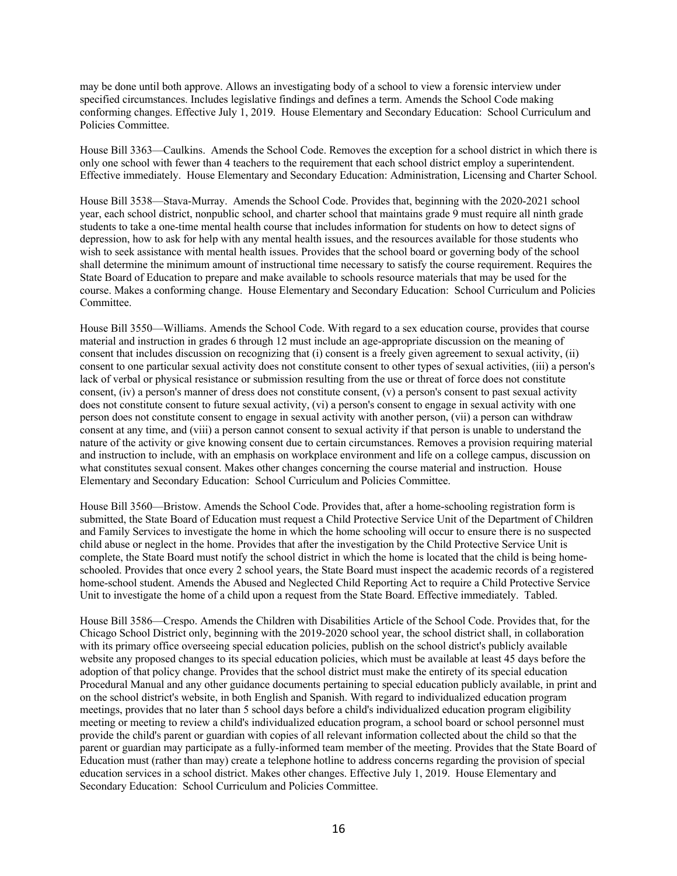may be done until both approve. Allows an investigating body of a school to view a forensic interview under specified circumstances. Includes legislative findings and defines a term. Amends the School Code making conforming changes. Effective July 1, 2019. House Elementary and Secondary Education: School Curriculum and Policies Committee.

House Bill 3363—Caulkins. Amends the School Code. Removes the exception for a school district in which there is only one school with fewer than 4 teachers to the requirement that each school district employ a superintendent. Effective immediately. House Elementary and Secondary Education: Administration, Licensing and Charter School.

House Bill 3538—Stava-Murray. Amends the School Code. Provides that, beginning with the 2020-2021 school year, each school district, nonpublic school, and charter school that maintains grade 9 must require all ninth grade students to take a one-time mental health course that includes information for students on how to detect signs of depression, how to ask for help with any mental health issues, and the resources available for those students who wish to seek assistance with mental health issues. Provides that the school board or governing body of the school shall determine the minimum amount of instructional time necessary to satisfy the course requirement. Requires the State Board of Education to prepare and make available to schools resource materials that may be used for the course. Makes a conforming change. House Elementary and Secondary Education: School Curriculum and Policies Committee.

House Bill 3550—Williams. Amends the School Code. With regard to a sex education course, provides that course material and instruction in grades 6 through 12 must include an age-appropriate discussion on the meaning of consent that includes discussion on recognizing that (i) consent is a freely given agreement to sexual activity, (ii) consent to one particular sexual activity does not constitute consent to other types of sexual activities, (iii) a person's lack of verbal or physical resistance or submission resulting from the use or threat of force does not constitute consent, (iv) a person's manner of dress does not constitute consent, (v) a person's consent to past sexual activity does not constitute consent to future sexual activity, (vi) a person's consent to engage in sexual activity with one person does not constitute consent to engage in sexual activity with another person, (vii) a person can withdraw consent at any time, and (viii) a person cannot consent to sexual activity if that person is unable to understand the nature of the activity or give knowing consent due to certain circumstances. Removes a provision requiring material and instruction to include, with an emphasis on workplace environment and life on a college campus, discussion on what constitutes sexual consent. Makes other changes concerning the course material and instruction. House Elementary and Secondary Education: School Curriculum and Policies Committee.

House Bill 3560—Bristow. Amends the School Code. Provides that, after a home-schooling registration form is submitted, the State Board of Education must request a Child Protective Service Unit of the Department of Children and Family Services to investigate the home in which the home schooling will occur to ensure there is no suspected child abuse or neglect in the home. Provides that after the investigation by the Child Protective Service Unit is complete, the State Board must notify the school district in which the home is located that the child is being homeschooled. Provides that once every 2 school years, the State Board must inspect the academic records of a registered home-school student. Amends the Abused and Neglected Child Reporting Act to require a Child Protective Service Unit to investigate the home of a child upon a request from the State Board. Effective immediately. Tabled.

House Bill 3586—Crespo. Amends the Children with Disabilities Article of the School Code. Provides that, for the Chicago School District only, beginning with the 2019-2020 school year, the school district shall, in collaboration with its primary office overseeing special education policies, publish on the school district's publicly available website any proposed changes to its special education policies, which must be available at least 45 days before the adoption of that policy change. Provides that the school district must make the entirety of its special education Procedural Manual and any other guidance documents pertaining to special education publicly available, in print and on the school district's website, in both English and Spanish. With regard to individualized education program meetings, provides that no later than 5 school days before a child's individualized education program eligibility meeting or meeting to review a child's individualized education program, a school board or school personnel must provide the child's parent or guardian with copies of all relevant information collected about the child so that the parent or guardian may participate as a fully-informed team member of the meeting. Provides that the State Board of Education must (rather than may) create a telephone hotline to address concerns regarding the provision of special education services in a school district. Makes other changes. Effective July 1, 2019. House Elementary and Secondary Education: School Curriculum and Policies Committee.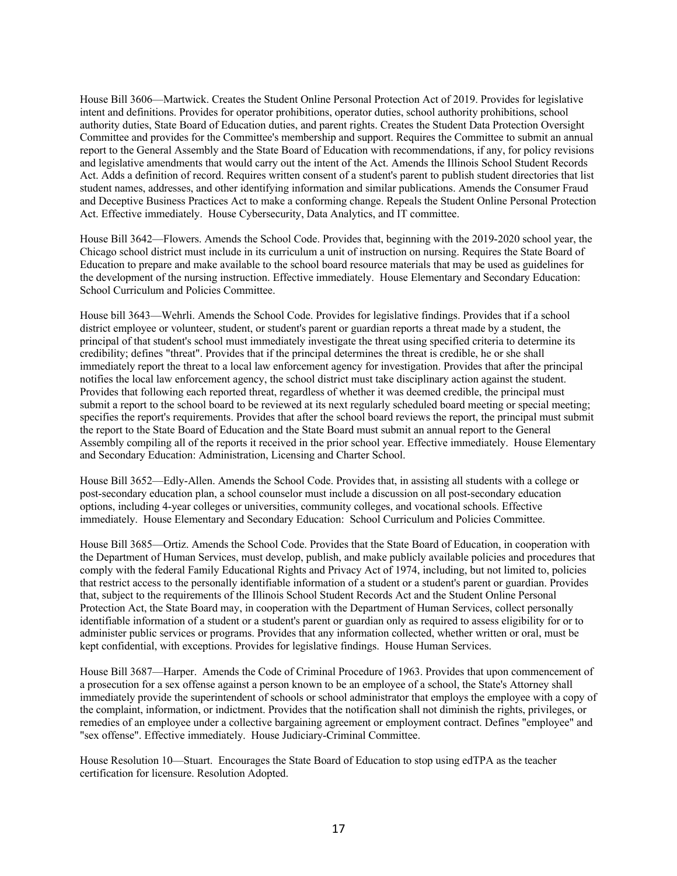House Bill 3606—Martwick. Creates the Student Online Personal Protection Act of 2019. Provides for legislative intent and definitions. Provides for operator prohibitions, operator duties, school authority prohibitions, school authority duties, State Board of Education duties, and parent rights. Creates the Student Data Protection Oversight Committee and provides for the Committee's membership and support. Requires the Committee to submit an annual report to the General Assembly and the State Board of Education with recommendations, if any, for policy revisions and legislative amendments that would carry out the intent of the Act. Amends the Illinois School Student Records Act. Adds a definition of record. Requires written consent of a student's parent to publish student directories that list student names, addresses, and other identifying information and similar publications. Amends the Consumer Fraud and Deceptive Business Practices Act to make a conforming change. Repeals the Student Online Personal Protection Act. Effective immediately. House Cybersecurity, Data Analytics, and IT committee.

House Bill 3642—Flowers. Amends the School Code. Provides that, beginning with the 2019-2020 school year, the Chicago school district must include in its curriculum a unit of instruction on nursing. Requires the State Board of Education to prepare and make available to the school board resource materials that may be used as guidelines for the development of the nursing instruction. Effective immediately. House Elementary and Secondary Education: School Curriculum and Policies Committee.

House bill 3643—Wehrli. Amends the School Code. Provides for legislative findings. Provides that if a school district employee or volunteer, student, or student's parent or guardian reports a threat made by a student, the principal of that student's school must immediately investigate the threat using specified criteria to determine its credibility; defines "threat". Provides that if the principal determines the threat is credible, he or she shall immediately report the threat to a local law enforcement agency for investigation. Provides that after the principal notifies the local law enforcement agency, the school district must take disciplinary action against the student. Provides that following each reported threat, regardless of whether it was deemed credible, the principal must submit a report to the school board to be reviewed at its next regularly scheduled board meeting or special meeting; specifies the report's requirements. Provides that after the school board reviews the report, the principal must submit the report to the State Board of Education and the State Board must submit an annual report to the General Assembly compiling all of the reports it received in the prior school year. Effective immediately. House Elementary and Secondary Education: Administration, Licensing and Charter School.

House Bill 3652—Edly-Allen. Amends the School Code. Provides that, in assisting all students with a college or post-secondary education plan, a school counselor must include a discussion on all post-secondary education options, including 4-year colleges or universities, community colleges, and vocational schools. Effective immediately. House Elementary and Secondary Education: School Curriculum and Policies Committee.

House Bill 3685—Ortiz. Amends the School Code. Provides that the State Board of Education, in cooperation with the Department of Human Services, must develop, publish, and make publicly available policies and procedures that comply with the federal Family Educational Rights and Privacy Act of 1974, including, but not limited to, policies that restrict access to the personally identifiable information of a student or a student's parent or guardian. Provides that, subject to the requirements of the Illinois School Student Records Act and the Student Online Personal Protection Act, the State Board may, in cooperation with the Department of Human Services, collect personally identifiable information of a student or a student's parent or guardian only as required to assess eligibility for or to administer public services or programs. Provides that any information collected, whether written or oral, must be kept confidential, with exceptions. Provides for legislative findings. House Human Services.

House Bill 3687—Harper. Amends the Code of Criminal Procedure of 1963. Provides that upon commencement of a prosecution for a sex offense against a person known to be an employee of a school, the State's Attorney shall immediately provide the superintendent of schools or school administrator that employs the employee with a copy of the complaint, information, or indictment. Provides that the notification shall not diminish the rights, privileges, or remedies of an employee under a collective bargaining agreement or employment contract. Defines "employee" and "sex offense". Effective immediately. House Judiciary-Criminal Committee.

House Resolution 10—Stuart. Encourages the State Board of Education to stop using edTPA as the teacher certification for licensure. Resolution Adopted.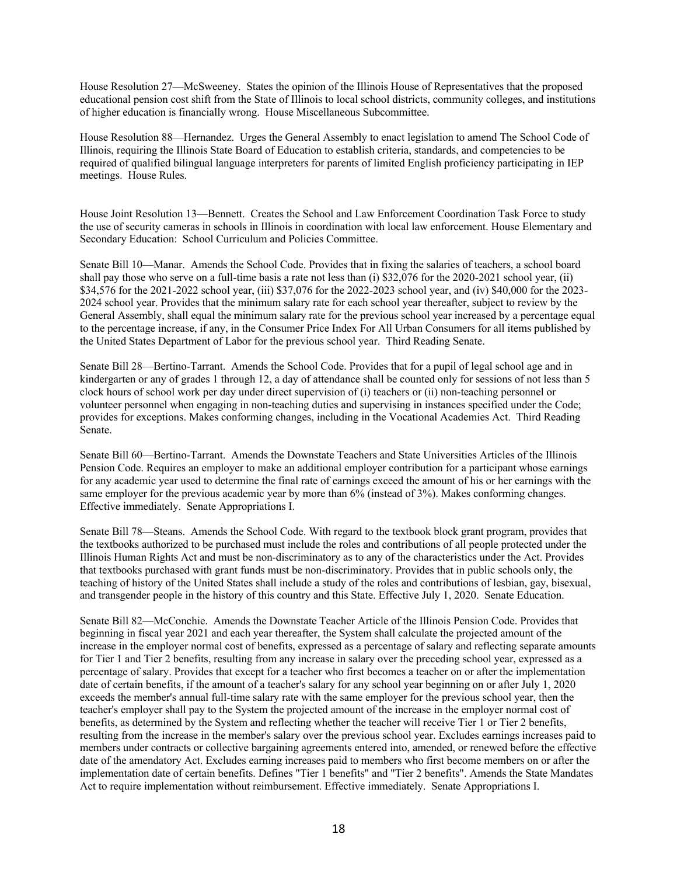House Resolution 27—McSweeney. States the opinion of the Illinois House of Representatives that the proposed educational pension cost shift from the State of Illinois to local school districts, community colleges, and institutions of higher education is financially wrong. House Miscellaneous Subcommittee.

House Resolution 88—Hernandez. Urges the General Assembly to enact legislation to amend The School Code of Illinois, requiring the Illinois State Board of Education to establish criteria, standards, and competencies to be required of qualified bilingual language interpreters for parents of limited English proficiency participating in IEP meetings. House Rules.

House Joint Resolution 13—Bennett. Creates the School and Law Enforcement Coordination Task Force to study the use of security cameras in schools in Illinois in coordination with local law enforcement. House Elementary and Secondary Education: School Curriculum and Policies Committee.

Senate Bill 10—Manar. Amends the School Code. Provides that in fixing the salaries of teachers, a school board shall pay those who serve on a full-time basis a rate not less than (i) \$32,076 for the 2020-2021 school year, (ii) \$34,576 for the 2021-2022 school year, (iii) \$37,076 for the 2022-2023 school year, and (iv) \$40,000 for the 2023- 2024 school year. Provides that the minimum salary rate for each school year thereafter, subject to review by the General Assembly, shall equal the minimum salary rate for the previous school year increased by a percentage equal to the percentage increase, if any, in the Consumer Price Index For All Urban Consumers for all items published by the United States Department of Labor for the previous school year. Third Reading Senate.

Senate Bill 28—Bertino-Tarrant. Amends the School Code. Provides that for a pupil of legal school age and in kindergarten or any of grades 1 through 12, a day of attendance shall be counted only for sessions of not less than 5 clock hours of school work per day under direct supervision of (i) teachers or (ii) non-teaching personnel or volunteer personnel when engaging in non-teaching duties and supervising in instances specified under the Code; provides for exceptions. Makes conforming changes, including in the Vocational Academies Act. Third Reading Senate.

Senate Bill 60—Bertino-Tarrant. Amends the Downstate Teachers and State Universities Articles of the Illinois Pension Code. Requires an employer to make an additional employer contribution for a participant whose earnings for any academic year used to determine the final rate of earnings exceed the amount of his or her earnings with the same employer for the previous academic year by more than 6% (instead of 3%). Makes conforming changes. Effective immediately. Senate Appropriations I.

Senate Bill 78—Steans. Amends the School Code. With regard to the textbook block grant program, provides that the textbooks authorized to be purchased must include the roles and contributions of all people protected under the Illinois Human Rights Act and must be non-discriminatory as to any of the characteristics under the Act. Provides that textbooks purchased with grant funds must be non-discriminatory. Provides that in public schools only, the teaching of history of the United States shall include a study of the roles and contributions of lesbian, gay, bisexual, and transgender people in the history of this country and this State. Effective July 1, 2020. Senate Education.

Senate Bill 82—McConchie. Amends the Downstate Teacher Article of the Illinois Pension Code. Provides that beginning in fiscal year 2021 and each year thereafter, the System shall calculate the projected amount of the increase in the employer normal cost of benefits, expressed as a percentage of salary and reflecting separate amounts for Tier 1 and Tier 2 benefits, resulting from any increase in salary over the preceding school year, expressed as a percentage of salary. Provides that except for a teacher who first becomes a teacher on or after the implementation date of certain benefits, if the amount of a teacher's salary for any school year beginning on or after July 1, 2020 exceeds the member's annual full-time salary rate with the same employer for the previous school year, then the teacher's employer shall pay to the System the projected amount of the increase in the employer normal cost of benefits, as determined by the System and reflecting whether the teacher will receive Tier 1 or Tier 2 benefits, resulting from the increase in the member's salary over the previous school year. Excludes earnings increases paid to members under contracts or collective bargaining agreements entered into, amended, or renewed before the effective date of the amendatory Act. Excludes earning increases paid to members who first become members on or after the implementation date of certain benefits. Defines "Tier 1 benefits" and "Tier 2 benefits". Amends the State Mandates Act to require implementation without reimbursement. Effective immediately. Senate Appropriations I.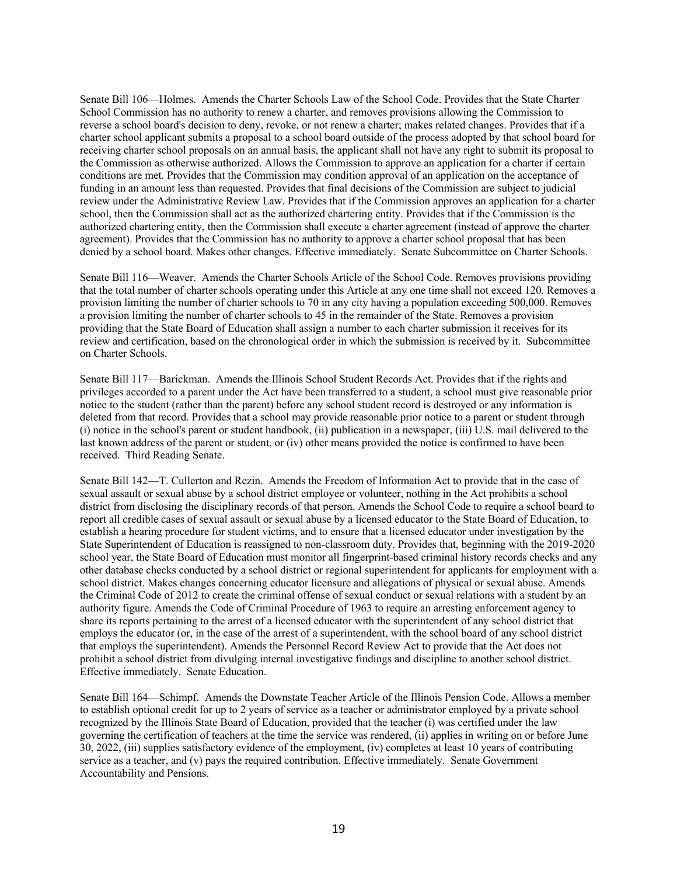Senate Bill 106—Holmes. Amends the Charter Schools Law of the School Code. Provides that the State Charter School Commission has no authority to renew a charter, and removes provisions allowing the Commission to reverse a school board's decision to deny, revoke, or not renew a charter; makes related changes. Provides that if a charter school applicant submits a proposal to a school board outside of the process adopted by that school board for receiving charter school proposals on an annual basis, the applicant shall not have any right to submit its proposal to the Commission as otherwise authorized. Allows the Commission to approve an application for a charter if certain conditions are met. Provides that the Commission may condition approval of an application on the acceptance of funding in an amount less than requested. Provides that final decisions of the Commission are subject to judicial review under the Administrative Review Law. Provides that if the Commission approves an application for a charter school, then the Commission shall act as the authorized chartering entity. Provides that if the Commission is the authorized chartering entity, then the Commission shall execute a charter agreement (instead of approve the charter agreement). Provides that the Commission has no authority to approve a charter school proposal that has been denied by a school board. Makes other changes. Effective immediately. Senate Subcommittee on Charter Schools.

Senate Bill 116—Weaver. Amends the Charter Schools Article of the School Code. Removes provisions providing that the total number of charter schools operating under this Article at any one time shall not exceed 120. Removes a provision limiting the number of charter schools to 70 in any city having a population exceeding 500,000. Removes a provision limiting the number of charter schools to 45 in the remainder of the State. Removes a provision providing that the State Board of Education shall assign a number to each charter submission it receives for its review and certification, based on the chronological order in which the submission is received by it. Subcommittee on Charter Schools.

Senate Bill 117—Barickman. Amends the Illinois School Student Records Act. Provides that if the rights and privileges accorded to a parent under the Act have been transferred to a student, a school must give reasonable prior notice to the student (rather than the parent) before any school student record is destroyed or any information is deleted from that record. Provides that a school may provide reasonable prior notice to a parent or student through (i) notice in the school's parent or student handbook, (ii) publication in a newspaper, (iii) U.S. mail delivered to the last known address of the parent or student, or (iv) other means provided the notice is confirmed to have been received. Third Reading Senate.

Senate Bill 142—T. Cullerton and Rezin. Amends the Freedom of Information Act to provide that in the case of sexual assault or sexual abuse by a school district employee or volunteer, nothing in the Act prohibits a school district from disclosing the disciplinary records of that person. Amends the School Code to require a school board to report all credible cases of sexual assault or sexual abuse by a licensed educator to the State Board of Education, to establish a hearing procedure for student victims, and to ensure that a licensed educator under investigation by the State Superintendent of Education is reassigned to non-classroom duty. Provides that, beginning with the 2019-2020 school year, the State Board of Education must monitor all fingerprint-based criminal history records checks and any other database checks conducted by a school district or regional superintendent for applicants for employment with a school district. Makes changes concerning educator licensure and allegations of physical or sexual abuse. Amends the Criminal Code of 2012 to create the criminal offense of sexual conduct or sexual relations with a student by an authority figure. Amends the Code of Criminal Procedure of 1963 to require an arresting enforcement agency to share its reports pertaining to the arrest of a licensed educator with the superintendent of any school district that employs the educator (or, in the case of the arrest of a superintendent, with the school board of any school district that employs the superintendent). Amends the Personnel Record Review Act to provide that the Act does not prohibit a school district from divulging internal investigative findings and discipline to another school district. Effective immediately. Senate Education.

Senate Bill 164—Schimpf. Amends the Downstate Teacher Article of the Illinois Pension Code. Allows a member to establish optional credit for up to 2 years of service as a teacher or administrator employed by a private school recognized by the Illinois State Board of Education, provided that the teacher (i) was certified under the law governing the certification of teachers at the time the service was rendered, (ii) applies in writing on or before June 30, 2022, (iii) supplies satisfactory evidence of the employment, (iv) completes at least 10 years of contributing service as a teacher, and (v) pays the required contribution. Effective immediately. Senate Government Accountability and Pensions.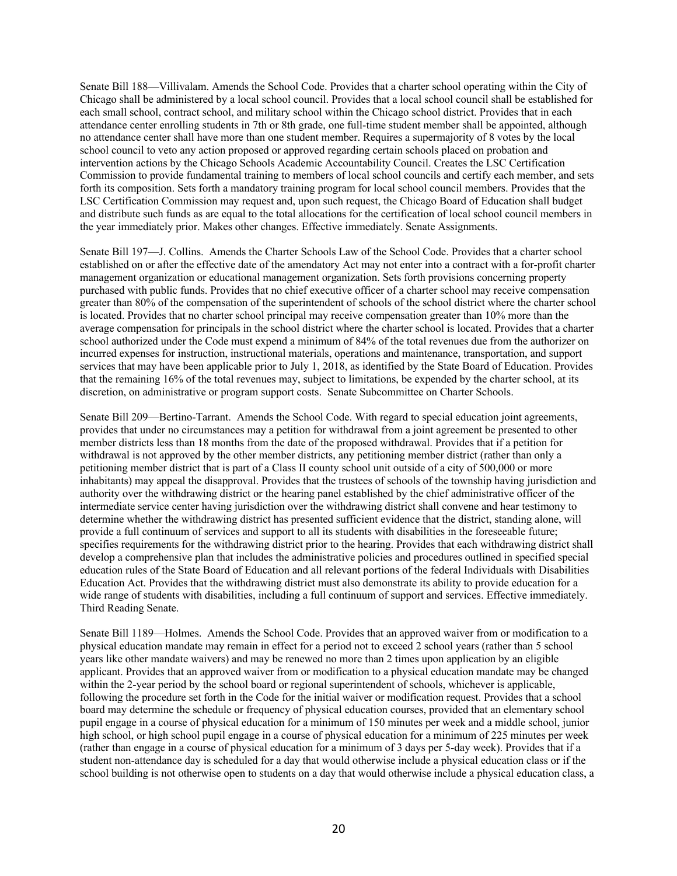Senate Bill 188—Villivalam. Amends the School Code. Provides that a charter school operating within the City of Chicago shall be administered by a local school council. Provides that a local school council shall be established for each small school, contract school, and military school within the Chicago school district. Provides that in each attendance center enrolling students in 7th or 8th grade, one full-time student member shall be appointed, although no attendance center shall have more than one student member. Requires a supermajority of 8 votes by the local school council to veto any action proposed or approved regarding certain schools placed on probation and intervention actions by the Chicago Schools Academic Accountability Council. Creates the LSC Certification Commission to provide fundamental training to members of local school councils and certify each member, and sets forth its composition. Sets forth a mandatory training program for local school council members. Provides that the LSC Certification Commission may request and, upon such request, the Chicago Board of Education shall budget and distribute such funds as are equal to the total allocations for the certification of local school council members in the year immediately prior. Makes other changes. Effective immediately. Senate Assignments.

Senate Bill 197—J. Collins. Amends the Charter Schools Law of the School Code. Provides that a charter school established on or after the effective date of the amendatory Act may not enter into a contract with a for-profit charter management organization or educational management organization. Sets forth provisions concerning property purchased with public funds. Provides that no chief executive officer of a charter school may receive compensation greater than 80% of the compensation of the superintendent of schools of the school district where the charter school is located. Provides that no charter school principal may receive compensation greater than 10% more than the average compensation for principals in the school district where the charter school is located. Provides that a charter school authorized under the Code must expend a minimum of 84% of the total revenues due from the authorizer on incurred expenses for instruction, instructional materials, operations and maintenance, transportation, and support services that may have been applicable prior to July 1, 2018, as identified by the State Board of Education. Provides that the remaining 16% of the total revenues may, subject to limitations, be expended by the charter school, at its discretion, on administrative or program support costs. Senate Subcommittee on Charter Schools.

Senate Bill 209—Bertino-Tarrant. Amends the School Code. With regard to special education joint agreements, provides that under no circumstances may a petition for withdrawal from a joint agreement be presented to other member districts less than 18 months from the date of the proposed withdrawal. Provides that if a petition for withdrawal is not approved by the other member districts, any petitioning member district (rather than only a petitioning member district that is part of a Class II county school unit outside of a city of 500,000 or more inhabitants) may appeal the disapproval. Provides that the trustees of schools of the township having jurisdiction and authority over the withdrawing district or the hearing panel established by the chief administrative officer of the intermediate service center having jurisdiction over the withdrawing district shall convene and hear testimony to determine whether the withdrawing district has presented sufficient evidence that the district, standing alone, will provide a full continuum of services and support to all its students with disabilities in the foreseeable future; specifies requirements for the withdrawing district prior to the hearing. Provides that each withdrawing district shall develop a comprehensive plan that includes the administrative policies and procedures outlined in specified special education rules of the State Board of Education and all relevant portions of the federal Individuals with Disabilities Education Act. Provides that the withdrawing district must also demonstrate its ability to provide education for a wide range of students with disabilities, including a full continuum of support and services. Effective immediately. Third Reading Senate.

Senate Bill 1189—Holmes. Amends the School Code. Provides that an approved waiver from or modification to a physical education mandate may remain in effect for a period not to exceed 2 school years (rather than 5 school years like other mandate waivers) and may be renewed no more than 2 times upon application by an eligible applicant. Provides that an approved waiver from or modification to a physical education mandate may be changed within the 2-year period by the school board or regional superintendent of schools, whichever is applicable, following the procedure set forth in the Code for the initial waiver or modification request. Provides that a school board may determine the schedule or frequency of physical education courses, provided that an elementary school pupil engage in a course of physical education for a minimum of 150 minutes per week and a middle school, junior high school, or high school pupil engage in a course of physical education for a minimum of 225 minutes per week (rather than engage in a course of physical education for a minimum of 3 days per 5-day week). Provides that if a student non-attendance day is scheduled for a day that would otherwise include a physical education class or if the school building is not otherwise open to students on a day that would otherwise include a physical education class, a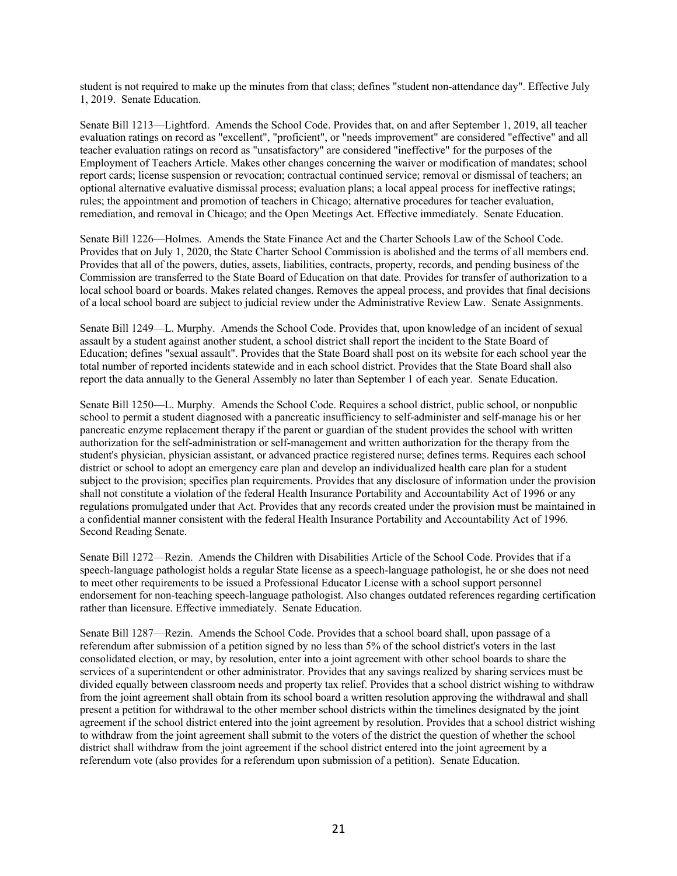student is not required to make up the minutes from that class; defines "student non-attendance day". Effective July 1, 2019. Senate Education.

Senate Bill 1213—Lightford. Amends the School Code. Provides that, on and after September 1, 2019, all teacher evaluation ratings on record as "excellent", "proficient", or "needs improvement" are considered "effective" and all teacher evaluation ratings on record as "unsatisfactory" are considered "ineffective" for the purposes of the Employment of Teachers Article. Makes other changes concerning the waiver or modification of mandates; school report cards; license suspension or revocation; contractual continued service; removal or dismissal of teachers; an optional alternative evaluative dismissal process; evaluation plans; a local appeal process for ineffective ratings; rules; the appointment and promotion of teachers in Chicago; alternative procedures for teacher evaluation, remediation, and removal in Chicago; and the Open Meetings Act. Effective immediately. Senate Education.

Senate Bill 1226—Holmes. Amends the State Finance Act and the Charter Schools Law of the School Code. Provides that on July 1, 2020, the State Charter School Commission is abolished and the terms of all members end. Provides that all of the powers, duties, assets, liabilities, contracts, property, records, and pending business of the Commission are transferred to the State Board of Education on that date. Provides for transfer of authorization to a local school board or boards. Makes related changes. Removes the appeal process, and provides that final decisions of a local school board are subject to judicial review under the Administrative Review Law. Senate Assignments.

Senate Bill 1249—L. Murphy. Amends the School Code. Provides that, upon knowledge of an incident of sexual assault by a student against another student, a school district shall report the incident to the State Board of Education; defines "sexual assault". Provides that the State Board shall post on its website for each school year the total number of reported incidents statewide and in each school district. Provides that the State Board shall also report the data annually to the General Assembly no later than September 1 of each year. Senate Education.

Senate Bill 1250—L. Murphy. Amends the School Code. Requires a school district, public school, or nonpublic school to permit a student diagnosed with a pancreatic insufficiency to self-administer and self-manage his or her pancreatic enzyme replacement therapy if the parent or guardian of the student provides the school with written authorization for the self-administration or self-management and written authorization for the therapy from the student's physician, physician assistant, or advanced practice registered nurse; defines terms. Requires each school district or school to adopt an emergency care plan and develop an individualized health care plan for a student subject to the provision; specifies plan requirements. Provides that any disclosure of information under the provision shall not constitute a violation of the federal Health Insurance Portability and Accountability Act of 1996 or any regulations promulgated under that Act. Provides that any records created under the provision must be maintained in a confidential manner consistent with the federal Health Insurance Portability and Accountability Act of 1996. Second Reading Senate.

Senate Bill 1272—Rezin. Amends the Children with Disabilities Article of the School Code. Provides that if a speech-language pathologist holds a regular State license as a speech-language pathologist, he or she does not need to meet other requirements to be issued a Professional Educator License with a school support personnel endorsement for non-teaching speech-language pathologist. Also changes outdated references regarding certification rather than licensure. Effective immediately. Senate Education.

Senate Bill 1287—Rezin. Amends the School Code. Provides that a school board shall, upon passage of a referendum after submission of a petition signed by no less than 5% of the school district's voters in the last consolidated election, or may, by resolution, enter into a joint agreement with other school boards to share the services of a superintendent or other administrator. Provides that any savings realized by sharing services must be divided equally between classroom needs and property tax relief. Provides that a school district wishing to withdraw from the joint agreement shall obtain from its school board a written resolution approving the withdrawal and shall present a petition for withdrawal to the other member school districts within the timelines designated by the joint agreement if the school district entered into the joint agreement by resolution. Provides that a school district wishing to withdraw from the joint agreement shall submit to the voters of the district the question of whether the school district shall withdraw from the joint agreement if the school district entered into the joint agreement by a referendum vote (also provides for a referendum upon submission of a petition). Senate Education.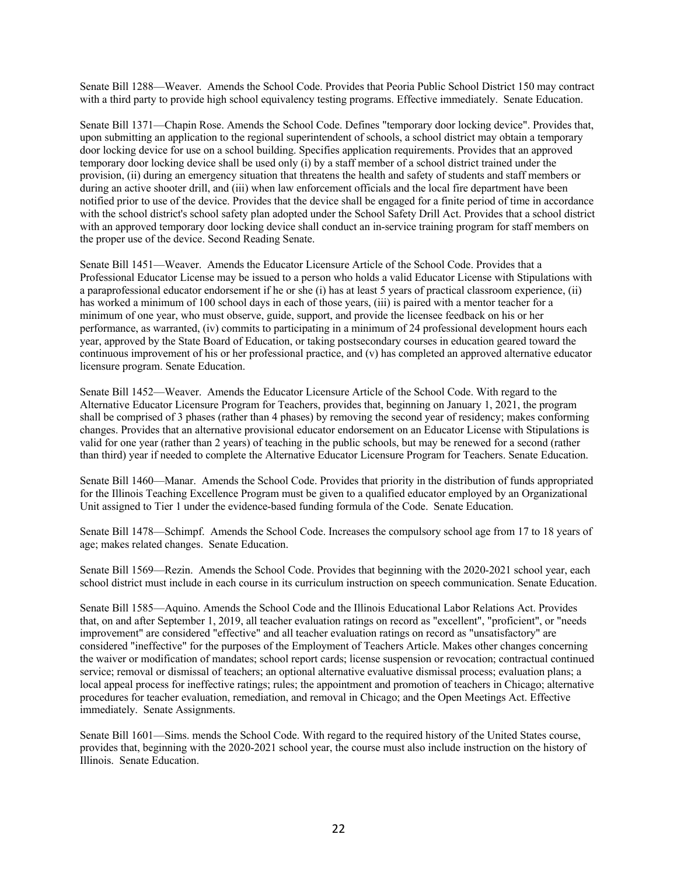Senate Bill 1288—Weaver. Amends the School Code. Provides that Peoria Public School District 150 may contract with a third party to provide high school equivalency testing programs. Effective immediately. Senate Education.

Senate Bill 1371—Chapin Rose. Amends the School Code. Defines "temporary door locking device". Provides that, upon submitting an application to the regional superintendent of schools, a school district may obtain a temporary door locking device for use on a school building. Specifies application requirements. Provides that an approved temporary door locking device shall be used only (i) by a staff member of a school district trained under the provision, (ii) during an emergency situation that threatens the health and safety of students and staff members or during an active shooter drill, and (iii) when law enforcement officials and the local fire department have been notified prior to use of the device. Provides that the device shall be engaged for a finite period of time in accordance with the school district's school safety plan adopted under the School Safety Drill Act. Provides that a school district with an approved temporary door locking device shall conduct an in-service training program for staff members on the proper use of the device. Second Reading Senate.

Senate Bill 1451—Weaver. Amends the Educator Licensure Article of the School Code. Provides that a Professional Educator License may be issued to a person who holds a valid Educator License with Stipulations with a paraprofessional educator endorsement if he or she (i) has at least 5 years of practical classroom experience, (ii) has worked a minimum of 100 school days in each of those years, (iii) is paired with a mentor teacher for a minimum of one year, who must observe, guide, support, and provide the licensee feedback on his or her performance, as warranted, (iv) commits to participating in a minimum of 24 professional development hours each year, approved by the State Board of Education, or taking postsecondary courses in education geared toward the continuous improvement of his or her professional practice, and (v) has completed an approved alternative educator licensure program. Senate Education.

Senate Bill 1452—Weaver. Amends the Educator Licensure Article of the School Code. With regard to the Alternative Educator Licensure Program for Teachers, provides that, beginning on January 1, 2021, the program shall be comprised of 3 phases (rather than 4 phases) by removing the second year of residency; makes conforming changes. Provides that an alternative provisional educator endorsement on an Educator License with Stipulations is valid for one year (rather than 2 years) of teaching in the public schools, but may be renewed for a second (rather than third) year if needed to complete the Alternative Educator Licensure Program for Teachers. Senate Education.

Senate Bill 1460—Manar. Amends the School Code. Provides that priority in the distribution of funds appropriated for the Illinois Teaching Excellence Program must be given to a qualified educator employed by an Organizational Unit assigned to Tier 1 under the evidence-based funding formula of the Code. Senate Education.

Senate Bill 1478—Schimpf. Amends the School Code. Increases the compulsory school age from 17 to 18 years of age; makes related changes. Senate Education.

Senate Bill 1569—Rezin. Amends the School Code. Provides that beginning with the 2020-2021 school year, each school district must include in each course in its curriculum instruction on speech communication. Senate Education.

Senate Bill 1585—Aquino. Amends the School Code and the Illinois Educational Labor Relations Act. Provides that, on and after September 1, 2019, all teacher evaluation ratings on record as "excellent", "proficient", or "needs improvement" are considered "effective" and all teacher evaluation ratings on record as "unsatisfactory" are considered "ineffective" for the purposes of the Employment of Teachers Article. Makes other changes concerning the waiver or modification of mandates; school report cards; license suspension or revocation; contractual continued service; removal or dismissal of teachers; an optional alternative evaluative dismissal process; evaluation plans; a local appeal process for ineffective ratings; rules; the appointment and promotion of teachers in Chicago; alternative procedures for teacher evaluation, remediation, and removal in Chicago; and the Open Meetings Act. Effective immediately. Senate Assignments.

Senate Bill 1601—Sims. mends the School Code. With regard to the required history of the United States course, provides that, beginning with the 2020-2021 school year, the course must also include instruction on the history of Illinois. Senate Education.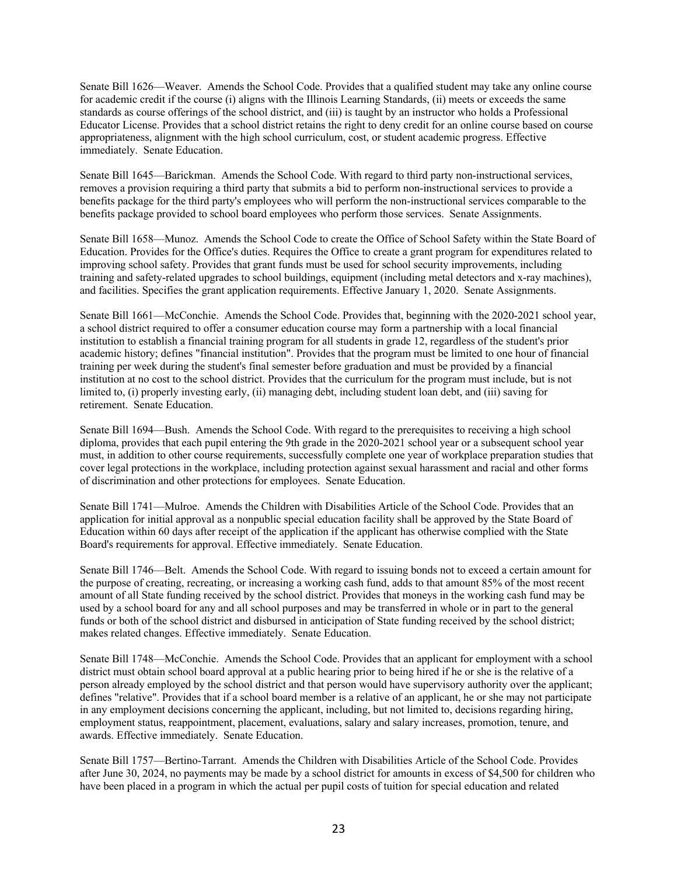Senate Bill 1626—Weaver. Amends the School Code. Provides that a qualified student may take any online course for academic credit if the course (i) aligns with the Illinois Learning Standards, (ii) meets or exceeds the same standards as course offerings of the school district, and (iii) is taught by an instructor who holds a Professional Educator License. Provides that a school district retains the right to deny credit for an online course based on course appropriateness, alignment with the high school curriculum, cost, or student academic progress. Effective immediately. Senate Education.

Senate Bill 1645—Barickman. Amends the School Code. With regard to third party non-instructional services, removes a provision requiring a third party that submits a bid to perform non-instructional services to provide a benefits package for the third party's employees who will perform the non-instructional services comparable to the benefits package provided to school board employees who perform those services. Senate Assignments.

Senate Bill 1658—Munoz. Amends the School Code to create the Office of School Safety within the State Board of Education. Provides for the Office's duties. Requires the Office to create a grant program for expenditures related to improving school safety. Provides that grant funds must be used for school security improvements, including training and safety-related upgrades to school buildings, equipment (including metal detectors and x-ray machines), and facilities. Specifies the grant application requirements. Effective January 1, 2020. Senate Assignments.

Senate Bill 1661—McConchie. Amends the School Code. Provides that, beginning with the 2020-2021 school year, a school district required to offer a consumer education course may form a partnership with a local financial institution to establish a financial training program for all students in grade 12, regardless of the student's prior academic history; defines "financial institution". Provides that the program must be limited to one hour of financial training per week during the student's final semester before graduation and must be provided by a financial institution at no cost to the school district. Provides that the curriculum for the program must include, but is not limited to, (i) properly investing early, (ii) managing debt, including student loan debt, and (iii) saving for retirement. Senate Education.

Senate Bill 1694—Bush. Amends the School Code. With regard to the prerequisites to receiving a high school diploma, provides that each pupil entering the 9th grade in the 2020-2021 school year or a subsequent school year must, in addition to other course requirements, successfully complete one year of workplace preparation studies that cover legal protections in the workplace, including protection against sexual harassment and racial and other forms of discrimination and other protections for employees. Senate Education.

Senate Bill 1741—Mulroe. Amends the Children with Disabilities Article of the School Code. Provides that an application for initial approval as a nonpublic special education facility shall be approved by the State Board of Education within 60 days after receipt of the application if the applicant has otherwise complied with the State Board's requirements for approval. Effective immediately. Senate Education.

Senate Bill 1746—Belt. Amends the School Code. With regard to issuing bonds not to exceed a certain amount for the purpose of creating, recreating, or increasing a working cash fund, adds to that amount 85% of the most recent amount of all State funding received by the school district. Provides that moneys in the working cash fund may be used by a school board for any and all school purposes and may be transferred in whole or in part to the general funds or both of the school district and disbursed in anticipation of State funding received by the school district; makes related changes. Effective immediately. Senate Education.

Senate Bill 1748—McConchie. Amends the School Code. Provides that an applicant for employment with a school district must obtain school board approval at a public hearing prior to being hired if he or she is the relative of a person already employed by the school district and that person would have supervisory authority over the applicant; defines "relative". Provides that if a school board member is a relative of an applicant, he or she may not participate in any employment decisions concerning the applicant, including, but not limited to, decisions regarding hiring, employment status, reappointment, placement, evaluations, salary and salary increases, promotion, tenure, and awards. Effective immediately. Senate Education.

Senate Bill 1757—Bertino-Tarrant. Amends the Children with Disabilities Article of the School Code. Provides after June 30, 2024, no payments may be made by a school district for amounts in excess of \$4,500 for children who have been placed in a program in which the actual per pupil costs of tuition for special education and related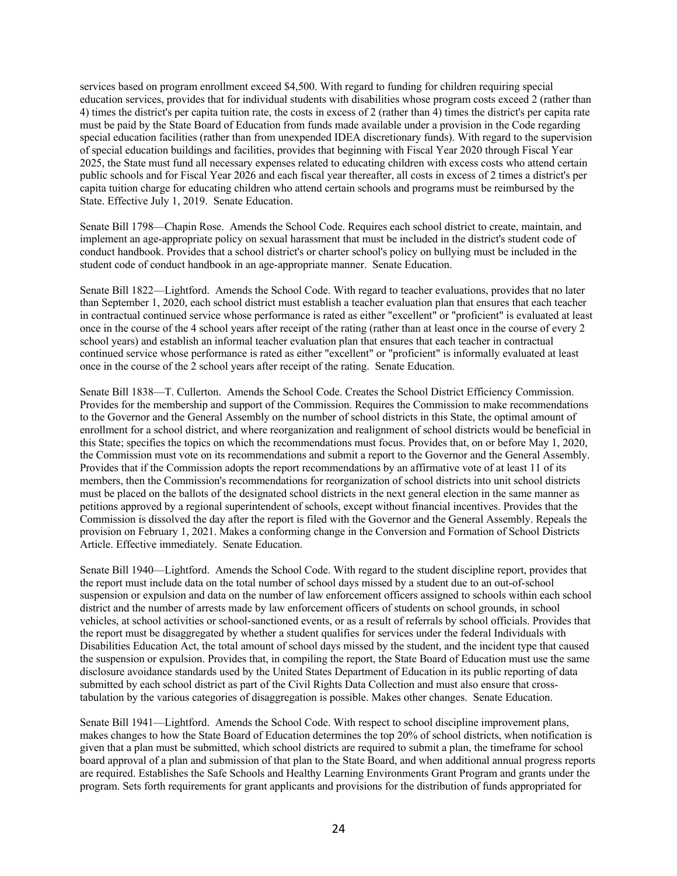services based on program enrollment exceed \$4,500. With regard to funding for children requiring special education services, provides that for individual students with disabilities whose program costs exceed 2 (rather than 4) times the district's per capita tuition rate, the costs in excess of 2 (rather than 4) times the district's per capita rate must be paid by the State Board of Education from funds made available under a provision in the Code regarding special education facilities (rather than from unexpended IDEA discretionary funds). With regard to the supervision of special education buildings and facilities, provides that beginning with Fiscal Year 2020 through Fiscal Year 2025, the State must fund all necessary expenses related to educating children with excess costs who attend certain public schools and for Fiscal Year 2026 and each fiscal year thereafter, all costs in excess of 2 times a district's per capita tuition charge for educating children who attend certain schools and programs must be reimbursed by the State. Effective July 1, 2019. Senate Education.

Senate Bill 1798—Chapin Rose. Amends the School Code. Requires each school district to create, maintain, and implement an age-appropriate policy on sexual harassment that must be included in the district's student code of conduct handbook. Provides that a school district's or charter school's policy on bullying must be included in the student code of conduct handbook in an age-appropriate manner. Senate Education.

Senate Bill 1822—Lightford. Amends the School Code. With regard to teacher evaluations, provides that no later than September 1, 2020, each school district must establish a teacher evaluation plan that ensures that each teacher in contractual continued service whose performance is rated as either "excellent" or "proficient" is evaluated at least once in the course of the 4 school years after receipt of the rating (rather than at least once in the course of every 2 school years) and establish an informal teacher evaluation plan that ensures that each teacher in contractual continued service whose performance is rated as either "excellent" or "proficient" is informally evaluated at least once in the course of the 2 school years after receipt of the rating. Senate Education.

Senate Bill 1838—T. Cullerton. Amends the School Code. Creates the School District Efficiency Commission. Provides for the membership and support of the Commission. Requires the Commission to make recommendations to the Governor and the General Assembly on the number of school districts in this State, the optimal amount of enrollment for a school district, and where reorganization and realignment of school districts would be beneficial in this State; specifies the topics on which the recommendations must focus. Provides that, on or before May 1, 2020, the Commission must vote on its recommendations and submit a report to the Governor and the General Assembly. Provides that if the Commission adopts the report recommendations by an affirmative vote of at least 11 of its members, then the Commission's recommendations for reorganization of school districts into unit school districts must be placed on the ballots of the designated school districts in the next general election in the same manner as petitions approved by a regional superintendent of schools, except without financial incentives. Provides that the Commission is dissolved the day after the report is filed with the Governor and the General Assembly. Repeals the provision on February 1, 2021. Makes a conforming change in the Conversion and Formation of School Districts Article. Effective immediately. Senate Education.

Senate Bill 1940—Lightford. Amends the School Code. With regard to the student discipline report, provides that the report must include data on the total number of school days missed by a student due to an out-of-school suspension or expulsion and data on the number of law enforcement officers assigned to schools within each school district and the number of arrests made by law enforcement officers of students on school grounds, in school vehicles, at school activities or school-sanctioned events, or as a result of referrals by school officials. Provides that the report must be disaggregated by whether a student qualifies for services under the federal Individuals with Disabilities Education Act, the total amount of school days missed by the student, and the incident type that caused the suspension or expulsion. Provides that, in compiling the report, the State Board of Education must use the same disclosure avoidance standards used by the United States Department of Education in its public reporting of data submitted by each school district as part of the Civil Rights Data Collection and must also ensure that crosstabulation by the various categories of disaggregation is possible. Makes other changes. Senate Education.

Senate Bill 1941—Lightford. Amends the School Code. With respect to school discipline improvement plans, makes changes to how the State Board of Education determines the top 20% of school districts, when notification is given that a plan must be submitted, which school districts are required to submit a plan, the timeframe for school board approval of a plan and submission of that plan to the State Board, and when additional annual progress reports are required. Establishes the Safe Schools and Healthy Learning Environments Grant Program and grants under the program. Sets forth requirements for grant applicants and provisions for the distribution of funds appropriated for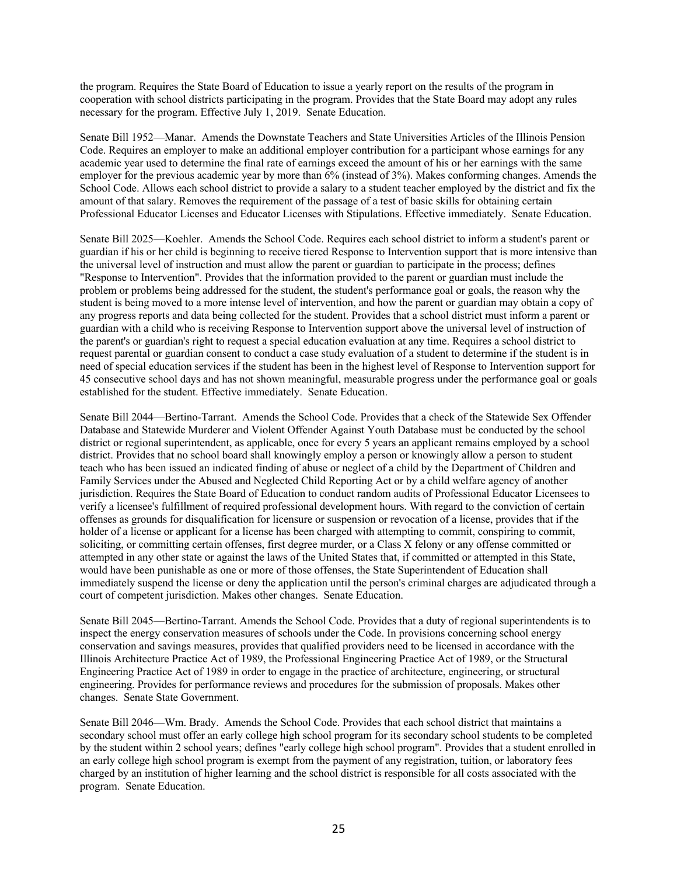the program. Requires the State Board of Education to issue a yearly report on the results of the program in cooperation with school districts participating in the program. Provides that the State Board may adopt any rules necessary for the program. Effective July 1, 2019. Senate Education.

Senate Bill 1952—Manar. Amends the Downstate Teachers and State Universities Articles of the Illinois Pension Code. Requires an employer to make an additional employer contribution for a participant whose earnings for any academic year used to determine the final rate of earnings exceed the amount of his or her earnings with the same employer for the previous academic year by more than 6% (instead of 3%). Makes conforming changes. Amends the School Code. Allows each school district to provide a salary to a student teacher employed by the district and fix the amount of that salary. Removes the requirement of the passage of a test of basic skills for obtaining certain Professional Educator Licenses and Educator Licenses with Stipulations. Effective immediately. Senate Education.

Senate Bill 2025—Koehler. Amends the School Code. Requires each school district to inform a student's parent or guardian if his or her child is beginning to receive tiered Response to Intervention support that is more intensive than the universal level of instruction and must allow the parent or guardian to participate in the process; defines "Response to Intervention". Provides that the information provided to the parent or guardian must include the problem or problems being addressed for the student, the student's performance goal or goals, the reason why the student is being moved to a more intense level of intervention, and how the parent or guardian may obtain a copy of any progress reports and data being collected for the student. Provides that a school district must inform a parent or guardian with a child who is receiving Response to Intervention support above the universal level of instruction of the parent's or guardian's right to request a special education evaluation at any time. Requires a school district to request parental or guardian consent to conduct a case study evaluation of a student to determine if the student is in need of special education services if the student has been in the highest level of Response to Intervention support for 45 consecutive school days and has not shown meaningful, measurable progress under the performance goal or goals established for the student. Effective immediately. Senate Education.

Senate Bill 2044—Bertino-Tarrant. Amends the School Code. Provides that a check of the Statewide Sex Offender Database and Statewide Murderer and Violent Offender Against Youth Database must be conducted by the school district or regional superintendent, as applicable, once for every 5 years an applicant remains employed by a school district. Provides that no school board shall knowingly employ a person or knowingly allow a person to student teach who has been issued an indicated finding of abuse or neglect of a child by the Department of Children and Family Services under the Abused and Neglected Child Reporting Act or by a child welfare agency of another jurisdiction. Requires the State Board of Education to conduct random audits of Professional Educator Licensees to verify a licensee's fulfillment of required professional development hours. With regard to the conviction of certain offenses as grounds for disqualification for licensure or suspension or revocation of a license, provides that if the holder of a license or applicant for a license has been charged with attempting to commit, conspiring to commit, soliciting, or committing certain offenses, first degree murder, or a Class X felony or any offense committed or attempted in any other state or against the laws of the United States that, if committed or attempted in this State, would have been punishable as one or more of those offenses, the State Superintendent of Education shall immediately suspend the license or deny the application until the person's criminal charges are adjudicated through a court of competent jurisdiction. Makes other changes. Senate Education.

Senate Bill 2045—Bertino-Tarrant. Amends the School Code. Provides that a duty of regional superintendents is to inspect the energy conservation measures of schools under the Code. In provisions concerning school energy conservation and savings measures, provides that qualified providers need to be licensed in accordance with the Illinois Architecture Practice Act of 1989, the Professional Engineering Practice Act of 1989, or the Structural Engineering Practice Act of 1989 in order to engage in the practice of architecture, engineering, or structural engineering. Provides for performance reviews and procedures for the submission of proposals. Makes other changes. Senate State Government.

Senate Bill 2046—Wm. Brady. Amends the School Code. Provides that each school district that maintains a secondary school must offer an early college high school program for its secondary school students to be completed by the student within 2 school years; defines "early college high school program". Provides that a student enrolled in an early college high school program is exempt from the payment of any registration, tuition, or laboratory fees charged by an institution of higher learning and the school district is responsible for all costs associated with the program. Senate Education.